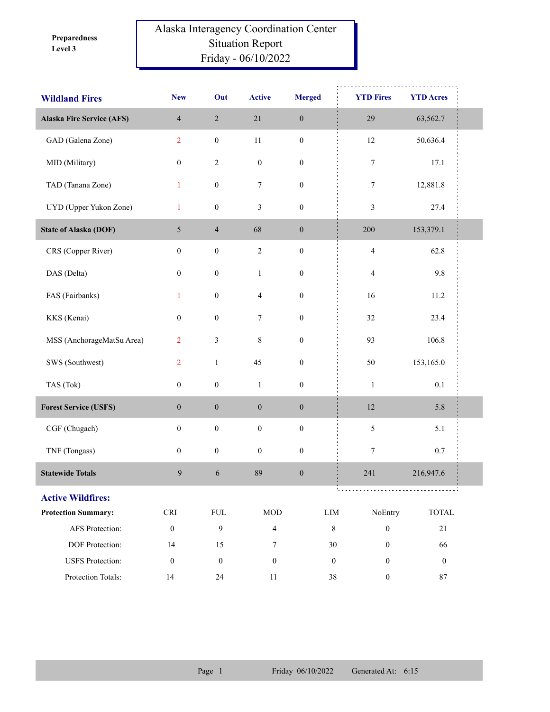**Level 3 Preparedness** 

## Alaska Interagency Coordination Center Situation Report Friday - 06/10/2022

| <b>Wildland Fires</b>            | <b>New</b>                  | Out              | <b>Active</b>    | <b>Merged</b>    | <b>YTD Fires</b>                   | <b>YTD Acres</b> |
|----------------------------------|-----------------------------|------------------|------------------|------------------|------------------------------------|------------------|
| <b>Alaska Fire Service (AFS)</b> | $\overline{4}$              | $\sqrt{2}$       | $21\,$           | $\boldsymbol{0}$ | 29                                 | 63,562.7         |
| GAD (Galena Zone)                | $\overline{2}$              | $\boldsymbol{0}$ | $11\,$           | $\boldsymbol{0}$ | $12\,$                             | 50,636.4         |
| MID (Military)                   | $\boldsymbol{0}$            | $\sqrt{2}$       | $\boldsymbol{0}$ | $\boldsymbol{0}$ | 7                                  | 17.1             |
| TAD (Tanana Zone)                | $\mathbf{1}$                | $\boldsymbol{0}$ | 7                | $\boldsymbol{0}$ | 7                                  | 12,881.8         |
| UYD (Upper Yukon Zone)           | $\mathbf{1}$                | $\boldsymbol{0}$ | $\mathfrak{Z}$   | $\boldsymbol{0}$ | 3                                  | 27.4             |
| <b>State of Alaska (DOF)</b>     | $5\overline{)}$             | $\overline{4}$   | 68               | $\boldsymbol{0}$ | 200                                | 153,379.1        |
| CRS (Copper River)               | $\boldsymbol{0}$            | $\boldsymbol{0}$ | $\sqrt{2}$       | $\boldsymbol{0}$ | $\overline{\mathbf{4}}$            | 62.8             |
| DAS (Delta)                      | $\boldsymbol{0}$            | $\boldsymbol{0}$ | $\mathbf{1}$     | $\boldsymbol{0}$ | $\overline{4}$                     | 9.8              |
| FAS (Fairbanks)                  | $\mathbf{1}$                | $\boldsymbol{0}$ | $\overline{4}$   | $\boldsymbol{0}$ | 16                                 | 11.2             |
| KKS (Kenai)                      | $\boldsymbol{0}$            | $\boldsymbol{0}$ | 7                | $\boldsymbol{0}$ | 32                                 | 23.4             |
| MSS (AnchorageMatSu Area)        | $\overline{2}$              | $\mathfrak{Z}$   | $\,$ 8 $\,$      | $\boldsymbol{0}$ | 93                                 | 106.8            |
| SWS (Southwest)                  | $\overline{2}$              | $\,1\,$          | 45               | $\boldsymbol{0}$ | 50                                 | 153,165.0        |
| TAS (Tok)                        | $\boldsymbol{0}$            | $\boldsymbol{0}$ | $\mathbf{1}$     | $\boldsymbol{0}$ | $\mathbf 1$                        | 0.1              |
| <b>Forest Service (USFS)</b>     | $\boldsymbol{0}$            | $\boldsymbol{0}$ | $\boldsymbol{0}$ | $\boldsymbol{0}$ | $12\,$                             | 5.8              |
| CGF (Chugach)                    | $\boldsymbol{0}$            | $\boldsymbol{0}$ | $\boldsymbol{0}$ | $\boldsymbol{0}$ | 5                                  | 5.1              |
| TNF (Tongass)                    | $\boldsymbol{0}$            | $\boldsymbol{0}$ | $\boldsymbol{0}$ | $\boldsymbol{0}$ | 7                                  | $0.7\,$          |
| <b>Statewide Totals</b>          | 9                           | 6                | 89               | $\boldsymbol{0}$ | 241                                | 216,947.6        |
| <b>Active Wildfires:</b>         |                             |                  |                  |                  |                                    |                  |
| <b>Protection Summary:</b>       | $\ensuremath{\mathsf{CRI}}$ | ${\rm FUL}$      | <b>MOD</b>       |                  | NoEntry<br>$\text{LIM}{}$          | TOTAL            |
| AFS Protection:                  | $\boldsymbol{0}$            | $\overline{9}$   | $\overline{4}$   |                  | $\,8\,$<br>$\boldsymbol{0}$        | 21               |
| DOF Protection:                  | 14                          | 15               | 7                |                  | 30<br>$\boldsymbol{0}$             | 66               |
| <b>USFS</b> Protection:          | $\boldsymbol{0}$            | $\boldsymbol{0}$ | $\boldsymbol{0}$ |                  | $\boldsymbol{0}$<br>$\overline{0}$ | $\mathbf{0}$     |
| Protection Totals:               | 14                          | 24               | 11               |                  | 38<br>$\boldsymbol{0}$             | 87               |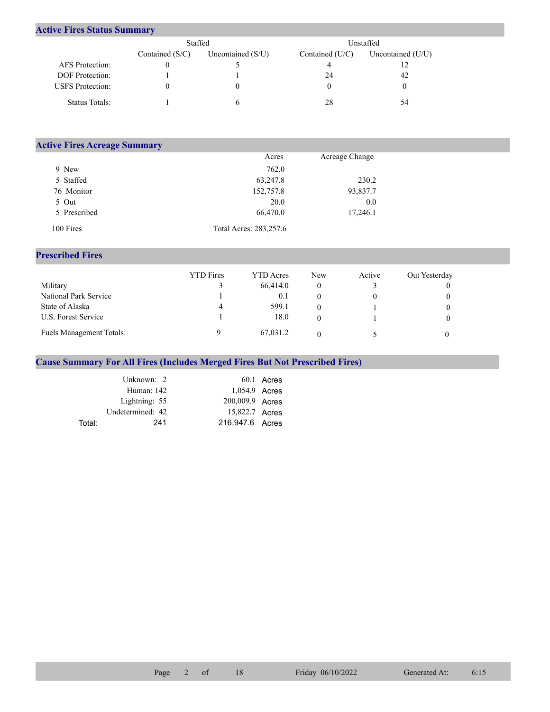## **Active Fires Status Summary**

|                         | Staffed           |                     | Unstaffed         |                     |  |  |
|-------------------------|-------------------|---------------------|-------------------|---------------------|--|--|
|                         | Contained $(S/C)$ | Uncontained $(S/U)$ | Contained $(U/C)$ | Uncontained $(U/U)$ |  |  |
| AFS Protection:         |                   |                     |                   |                     |  |  |
| <b>DOF</b> Protection:  |                   |                     | 24                | 42                  |  |  |
| <b>USFS</b> Protection: |                   |                     |                   |                     |  |  |
| Status Totals:          |                   |                     | 28                | 54                  |  |  |

| <b>Active Fires Acreage Summary</b> |                        |                |  |
|-------------------------------------|------------------------|----------------|--|
|                                     | Acres                  | Acreage Change |  |
| 9 New                               | 762.0                  |                |  |
| 5 Staffed                           | 63,247.8               | 230.2          |  |
| 76 Monitor                          | 152,757.8              | 93,837.7       |  |
| 5 Out                               | 20.0                   | 0.0            |  |
| 5 Prescribed                        | 66,470.0               | 17,246.1       |  |
| 100 Fires                           | Total Acres: 283,257.6 |                |  |

## **Prescribed Fires**

|                                 | <b>YTD</b> Fires | <b>YTD</b> Acres | New | Active | Out Yesterday |
|---------------------------------|------------------|------------------|-----|--------|---------------|
| Military                        |                  | 66,414.0         | 0   |        |               |
| National Park Service           |                  | 0.1              |     |        |               |
| State of Alaska                 | 4                | 599.1            | 0   |        |               |
| U.S. Forest Service             |                  | 18.0             | 0   |        |               |
| <b>Fuels Management Totals:</b> |                  | 67,031.2         |     |        |               |

## **Cause Summary For All Fires (Includes Merged Fires But Not Prescribed Fires)**

|        | Unknown: 2       |                 | $60.1$ Acres |
|--------|------------------|-----------------|--------------|
|        | Human: 142       | 1,054.9 Acres   |              |
|        | Lightning: 55    | 200,009.9 Acres |              |
|        | Undetermined: 42 | 15,822.7 Acres  |              |
| Total: | 241              | 216.947.6 Acres |              |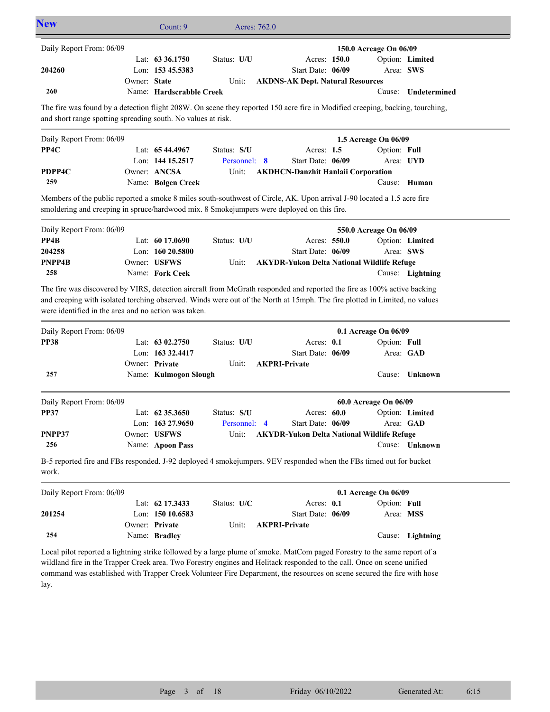| Daily Report From: 06/09                                                                                                                                                                                                                                                                                      |              |                          |              |                                                   |                                      |                  |
|---------------------------------------------------------------------------------------------------------------------------------------------------------------------------------------------------------------------------------------------------------------------------------------------------------------|--------------|--------------------------|--------------|---------------------------------------------------|--------------------------------------|------------------|
|                                                                                                                                                                                                                                                                                                               |              |                          |              |                                                   | 150.0 Acreage On 06/09               |                  |
|                                                                                                                                                                                                                                                                                                               |              | Lat: 63 36.1750          | Status: U/U  | Acres: 150.0                                      |                                      | Option: Limited  |
| 204260                                                                                                                                                                                                                                                                                                        |              | Lon: 153 45.5383         |              | Start Date: 06/09                                 | Area: SWS                            |                  |
|                                                                                                                                                                                                                                                                                                               | Owner: State |                          | Unit:        | <b>AKDNS-AK Dept. Natural Resources</b>           |                                      |                  |
| 260                                                                                                                                                                                                                                                                                                           |              | Name: Hardscrabble Creek |              |                                                   | Cause:                               | Undetermined     |
| The fire was found by a detection flight 208W. On scene they reported 150 acre fire in Modified creeping, backing, tourching,                                                                                                                                                                                 |              |                          |              |                                                   |                                      |                  |
| and short range spotting spreading south. No values at risk.                                                                                                                                                                                                                                                  |              |                          |              |                                                   |                                      |                  |
| Daily Report From: 06/09                                                                                                                                                                                                                                                                                      |              |                          |              |                                                   | 1.5 Acreage On 06/09                 |                  |
| PP4C                                                                                                                                                                                                                                                                                                          |              | Lat: $6544.4967$         | Status: S/U  | Acres: 1.5                                        | Option: Full                         |                  |
|                                                                                                                                                                                                                                                                                                               |              | Lon: 144 15.2517         | Personnel: 8 | Start Date: 06/09                                 |                                      | Area: UYD        |
| PDPP4C                                                                                                                                                                                                                                                                                                        |              | Owner: ANCSA             | Unit:        | <b>AKDHCN-Danzhit Hanlaii Corporation</b>         |                                      |                  |
| 259                                                                                                                                                                                                                                                                                                           |              | Name: Bolgen Creek       |              |                                                   | Cause:                               | Human            |
| Members of the public reported a smoke 8 miles south-southwest of Circle, AK. Upon arrival J-90 located a 1.5 acre fire<br>smoldering and creeping in spruce/hardwood mix. 8 Smokejumpers were deployed on this fire.                                                                                         |              |                          |              |                                                   |                                      |                  |
| Daily Report From: 06/09                                                                                                                                                                                                                                                                                      |              |                          |              |                                                   | 550.0 Acreage On 06/09               |                  |
| PP4B                                                                                                                                                                                                                                                                                                          |              | Lat: 60 17.0690          | Status: U/U  | Acres: 550.0                                      |                                      | Option: Limited  |
| 204258                                                                                                                                                                                                                                                                                                        |              | Lon: $16020.5800$        |              | Start Date: 06/09                                 |                                      | Area: SWS        |
| PNPP4B                                                                                                                                                                                                                                                                                                        |              | Owner: USFWS             | Unit:        | <b>AKYDR-Yukon Delta National Wildlife Refuge</b> |                                      |                  |
|                                                                                                                                                                                                                                                                                                               |              |                          |              |                                                   |                                      | Cause: Lightning |
| 258                                                                                                                                                                                                                                                                                                           |              | Name: Fork Ceek          |              |                                                   |                                      |                  |
| The fire was discovered by VIRS, detection aircraft from McGrath responded and reported the fire as 100% active backing<br>and creeping with isolated torching observed. Winds were out of the North at 15mph. The fire plotted in Limited, no values<br>were identified in the area and no action was taken. |              |                          |              |                                                   |                                      |                  |
|                                                                                                                                                                                                                                                                                                               |              | Lat: 63 02.2750          | Status: U/U  | Acres: 0.1                                        | 0.1 Acreage On 06/09<br>Option: Full |                  |
|                                                                                                                                                                                                                                                                                                               |              | Lon: 163 32.4417         |              | Start Date: 06/09                                 |                                      | Area: GAD        |
|                                                                                                                                                                                                                                                                                                               |              | Owner: Private           | Unit:        | <b>AKPRI-Private</b>                              |                                      |                  |
| 257                                                                                                                                                                                                                                                                                                           |              | Name: Kulmogon Slough    |              |                                                   |                                      | Cause: Unknown   |
|                                                                                                                                                                                                                                                                                                               |              |                          |              |                                                   |                                      |                  |
|                                                                                                                                                                                                                                                                                                               |              |                          |              |                                                   | 60.0 Acreage On 06/09                |                  |
|                                                                                                                                                                                                                                                                                                               |              | Lat: $62\,35.3650$       | Status: S/U  | Acres: 60.0                                       |                                      | Option: Limited  |
|                                                                                                                                                                                                                                                                                                               |              | Lon: 163 27.9650         | Personnel: 4 | Start Date: 06/09                                 |                                      | Area: GAD        |
| 256                                                                                                                                                                                                                                                                                                           |              | Owner: USFWS             | Unit:        | <b>AKYDR-Yukon Delta National Wildlife Refuge</b> |                                      |                  |
|                                                                                                                                                                                                                                                                                                               |              | Name: Apoon Pass         |              |                                                   |                                      | Cause: Unknown   |
|                                                                                                                                                                                                                                                                                                               |              |                          |              |                                                   | 0.1 Acreage On 06/09                 |                  |
|                                                                                                                                                                                                                                                                                                               |              | Lat: 62 17.3433          | Status: U/C  | Acres: 0.1                                        | Option: Full                         |                  |
|                                                                                                                                                                                                                                                                                                               |              | Lon: 150 10.6583         |              | Start Date: 06/09                                 |                                      | Area: MSS        |
| Daily Report From: 06/09<br><b>PP38</b><br>Daily Report From: 06/09<br><b>PP37</b><br>PNPP37<br>B-5 reported fire and FBs responded. J-92 deployed 4 smokejumpers. 9EV responded when the FBs timed out for bucket<br>work.<br>Daily Report From: 06/09<br>201254                                             |              | Owner: Private           | Unit:        | <b>AKPRI-Private</b>                              |                                      |                  |

lay.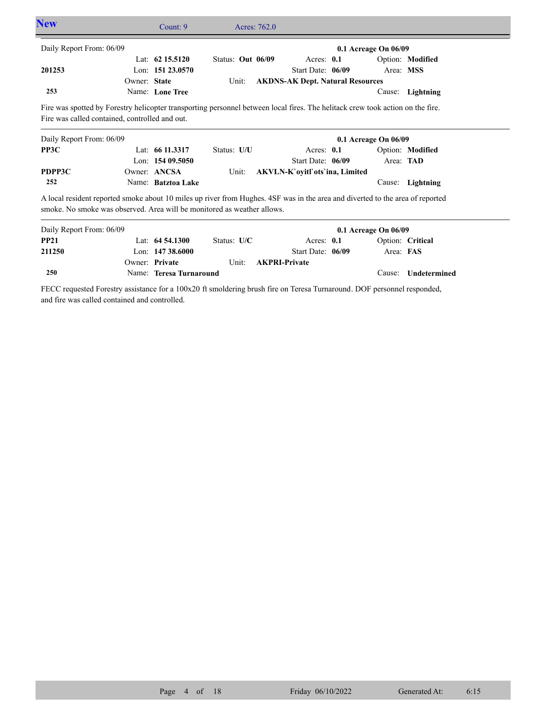| <b>New</b>                                                                                                                                                                                               |              | Count: 9           |                   | Acres: 762.0 |                                         |                      |                  |  |
|----------------------------------------------------------------------------------------------------------------------------------------------------------------------------------------------------------|--------------|--------------------|-------------------|--------------|-----------------------------------------|----------------------|------------------|--|
| Daily Report From: 06/09                                                                                                                                                                                 |              |                    |                   |              |                                         | 0.1 Acreage On 06/09 |                  |  |
|                                                                                                                                                                                                          |              | Lat: $62$ 15.5120  | Status: Out 06/09 |              | Acres: $0.1$                            |                      | Option: Modified |  |
| 201253                                                                                                                                                                                                   |              | Lon: 151 23.0570   |                   |              | Start Date: 06/09                       | Area: MSS            |                  |  |
|                                                                                                                                                                                                          | Owner: State |                    | Unit:             |              | <b>AKDNS-AK Dept. Natural Resources</b> |                      |                  |  |
| 253                                                                                                                                                                                                      |              | Name: Lone Tree    |                   |              |                                         | Cause:               | Lightning        |  |
| Fire was called contained, controlled and out.                                                                                                                                                           |              |                    |                   |              |                                         |                      |                  |  |
| Daily Report From: 06/09                                                                                                                                                                                 |              |                    |                   |              |                                         | 0.1 Acreage On 06/09 |                  |  |
| PP3C                                                                                                                                                                                                     |              | Lat: $6611.3317$   | Status: U/U       |              | Acres: $0.1$                            |                      | Option: Modified |  |
|                                                                                                                                                                                                          |              | Lon: $15409.5050$  |                   |              | Start Date: 06/09                       | Area: TAD            |                  |  |
| PDPP3C                                                                                                                                                                                                   |              | Owner: ANCSA       | Unit:             |              | AKVLN-K' ovitl' ots' in a, Limited      |                      |                  |  |
| 252                                                                                                                                                                                                      |              | Name: Batztoa Lake |                   |              |                                         | Cause:               | Lightning        |  |
| A local resident reported smoke about 10 miles up river from Hughes. 4SF was in the area and diverted to the area of reported<br>smoke. No smoke was observed. Area will be monitored as weather allows. |              |                    |                   |              |                                         |                      |                  |  |
| Daily Report From: 06/09                                                                                                                                                                                 |              |                    |                   |              |                                         | 0.1 Acreage On 06/09 |                  |  |

| Daily Report From: 06/09 |                         |               |                      | $0.1$ Acreage On $06/09$ |                            |
|--------------------------|-------------------------|---------------|----------------------|--------------------------|----------------------------|
| <b>PP21</b>              | Lat: $64\,54.1300$      | Status: $U/C$ | Acres: $0.1$         |                          | Option: Critical           |
| 211250                   | Lon: $14738.6000$       |               | Start Date: 06/09    | Area: FAS                |                            |
|                          | Owner: Private          | Unit:         | <b>AKPRI-Private</b> |                          |                            |
| 250                      | Name: Teresa Turnaround |               |                      |                          | Cause: <b>Undetermined</b> |

FECC requested Forestry assistance for a 100x20 ft smoldering brush fire on Teresa Turnaround. DOF personnel responded, and fire was called contained and controlled.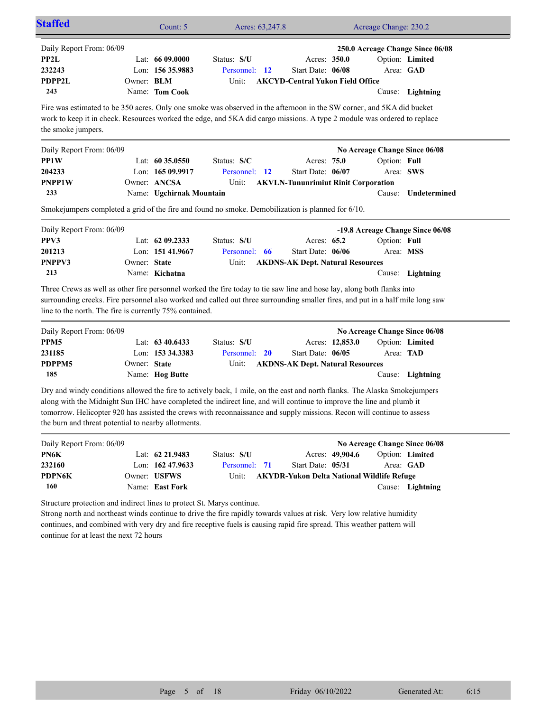| Daily Report From: 06/09<br>PP2L<br>232243                                                                                                                                                                                                                                             |              | Lat: 66 09.0000<br>Lon: 156 35.9883 | Status: S/U<br>Personnel: 12                                                                                                                                                                                                                                                                                                                                                | Acres: 350.0<br>Start Date: 06/08                 |                 |              | 250.0 Acreage Change Since 06/08<br>Option: Limited<br>Area: GAD |
|----------------------------------------------------------------------------------------------------------------------------------------------------------------------------------------------------------------------------------------------------------------------------------------|--------------|-------------------------------------|-----------------------------------------------------------------------------------------------------------------------------------------------------------------------------------------------------------------------------------------------------------------------------------------------------------------------------------------------------------------------------|---------------------------------------------------|-----------------|--------------|------------------------------------------------------------------|
| PDPP2L                                                                                                                                                                                                                                                                                 | Owner: BLM   |                                     | Unit:                                                                                                                                                                                                                                                                                                                                                                       | <b>AKCYD-Central Yukon Field Office</b>           |                 |              |                                                                  |
| 243                                                                                                                                                                                                                                                                                    |              | Name: Tom Cook                      |                                                                                                                                                                                                                                                                                                                                                                             |                                                   |                 |              | Cause: Lightning                                                 |
| the smoke jumpers.                                                                                                                                                                                                                                                                     |              |                                     | Fire was estimated to be 350 acres. Only one smoke was observed in the afternoon in the SW corner, and 5KA did bucket<br>work to keep it in check. Resources worked the edge, and 5KA did cargo missions. A type 2 module was ordered to replace                                                                                                                            |                                                   |                 |              |                                                                  |
| Daily Report From: 06/09                                                                                                                                                                                                                                                               |              |                                     |                                                                                                                                                                                                                                                                                                                                                                             |                                                   |                 |              | No Acreage Change Since 06/08                                    |
| PP1W                                                                                                                                                                                                                                                                                   |              | Lat: 60 35.0550                     | Status: S/C                                                                                                                                                                                                                                                                                                                                                                 | Acres: 75.0                                       |                 | Option: Full |                                                                  |
| 204233                                                                                                                                                                                                                                                                                 |              | Lon: 165 09.9917                    | Personnel: 12                                                                                                                                                                                                                                                                                                                                                               | Start Date: 06/07                                 |                 |              | Area: SWS                                                        |
| <b>PNPP1W</b>                                                                                                                                                                                                                                                                          |              | Owner: ANCSA                        | Unit:                                                                                                                                                                                                                                                                                                                                                                       | <b>AKVLN-Tununrimiut Rinit Corporation</b>        |                 |              |                                                                  |
| 233                                                                                                                                                                                                                                                                                    |              | Name: Ugchirnak Mountain            |                                                                                                                                                                                                                                                                                                                                                                             |                                                   |                 | Cause:       | Undetermined                                                     |
|                                                                                                                                                                                                                                                                                        |              |                                     | Smokejumpers completed a grid of the fire and found no smoke. Demobilization is planned for 6/10.                                                                                                                                                                                                                                                                           |                                                   |                 |              |                                                                  |
|                                                                                                                                                                                                                                                                                        |              |                                     |                                                                                                                                                                                                                                                                                                                                                                             |                                                   |                 |              | -19.8 Acreage Change Since 06/08                                 |
|                                                                                                                                                                                                                                                                                        |              |                                     |                                                                                                                                                                                                                                                                                                                                                                             |                                                   |                 |              |                                                                  |
|                                                                                                                                                                                                                                                                                        |              | Lat: $6209.2333$                    | Status: S/U                                                                                                                                                                                                                                                                                                                                                                 | Acres: 65.2                                       |                 | Option: Full |                                                                  |
|                                                                                                                                                                                                                                                                                        |              | Lon: 151 41.9667                    | Personnel: 66                                                                                                                                                                                                                                                                                                                                                               | Start Date: 06/06                                 |                 | Area: MSS    |                                                                  |
|                                                                                                                                                                                                                                                                                        | Owner: State |                                     | Unit:                                                                                                                                                                                                                                                                                                                                                                       |                                                   |                 |              |                                                                  |
| 213                                                                                                                                                                                                                                                                                    |              | Name: Kichatna                      |                                                                                                                                                                                                                                                                                                                                                                             | <b>AKDNS-AK Dept. Natural Resources</b>           |                 |              | Cause: Lightning                                                 |
|                                                                                                                                                                                                                                                                                        |              |                                     | Three Crews as well as other fire personnel worked the fire today to tie saw line and hose lay, along both flanks into<br>surrounding creeks. Fire personnel also worked and called out three surrounding smaller fires, and put in a half mile long saw                                                                                                                    |                                                   |                 |              |                                                                  |
|                                                                                                                                                                                                                                                                                        |              |                                     |                                                                                                                                                                                                                                                                                                                                                                             |                                                   |                 |              | No Acreage Change Since 06/08                                    |
|                                                                                                                                                                                                                                                                                        |              | Lat: $63\,40.6433$                  | Status: S/U                                                                                                                                                                                                                                                                                                                                                                 |                                                   | Acres: 12,853.0 |              | Option: Limited                                                  |
|                                                                                                                                                                                                                                                                                        |              | Lon: 153 34.3383                    | Personnel: 20                                                                                                                                                                                                                                                                                                                                                               | Start Date: 06/05                                 |                 | Area: TAD    |                                                                  |
|                                                                                                                                                                                                                                                                                        | Owner: State |                                     | Unit:                                                                                                                                                                                                                                                                                                                                                                       | <b>AKDNS-AK Dept. Natural Resources</b>           |                 |              |                                                                  |
|                                                                                                                                                                                                                                                                                        |              | Name: Hog Butte                     |                                                                                                                                                                                                                                                                                                                                                                             |                                                   |                 |              | Cause: Lightning                                                 |
| 185                                                                                                                                                                                                                                                                                    |              |                                     | Dry and windy conditions allowed the fire to actively back, 1 mile, on the east and north flanks. The Alaska Smokejumpers<br>along with the Midnight Sun IHC have completed the indirect line, and will continue to improve the line and plumb it<br>tomorrow. Helicopter 920 has assisted the crews with reconnaissance and supply missions. Recon will continue to assess |                                                   |                 |              |                                                                  |
|                                                                                                                                                                                                                                                                                        |              |                                     |                                                                                                                                                                                                                                                                                                                                                                             |                                                   |                 |              | No Acreage Change Since 06/08                                    |
|                                                                                                                                                                                                                                                                                        |              | Lat: 62 21.9483                     | Status: S/U                                                                                                                                                                                                                                                                                                                                                                 |                                                   | Acres: 49,904.6 |              | Option: Limited                                                  |
|                                                                                                                                                                                                                                                                                        |              | Lon: 162 47.9633                    | Personnel: 71                                                                                                                                                                                                                                                                                                                                                               | Start Date: 05/31                                 |                 |              | Area: GAD                                                        |
| Daily Report From: 06/09<br>PPV3<br>201213<br>PNPPV3<br>line to the north. The fire is currently 75% contained.<br>Daily Report From: 06/09<br>PPM5<br>231185<br>PDPPM5<br>the burn and threat potential to nearby allotments.<br>Daily Report From: 06/09<br>PN6K<br>232160<br>PDPN6K |              | Owner: USFWS                        | Unit:                                                                                                                                                                                                                                                                                                                                                                       | <b>AKYDR-Yukon Delta National Wildlife Refuge</b> |                 |              |                                                                  |

continues, and combined with very dry and fire receptive fuels is causing rapid fire spread. This weather pattern will continue for at least the next 72 hours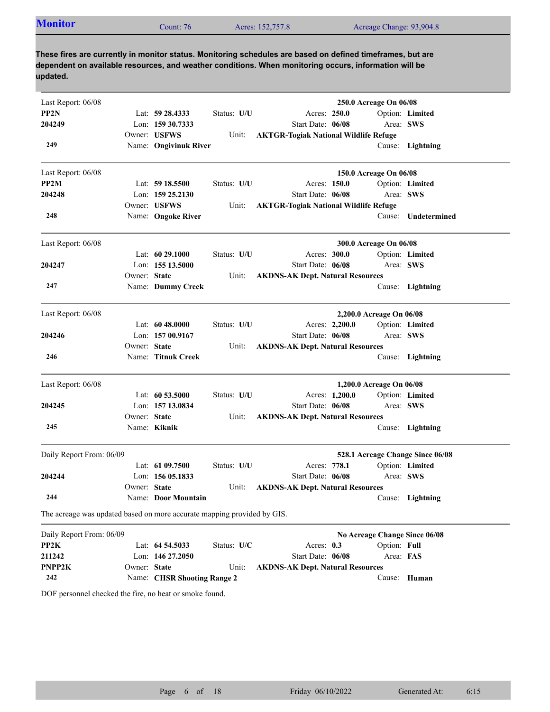| <b>Monitor</b><br>Acres: 152,757.8<br>Acreage Change: 93,904.8<br>Count: 76 |  |
|-----------------------------------------------------------------------------|--|
|-----------------------------------------------------------------------------|--|

| Last Report: 06/08                                                      |              |                             |             |                                              |                | 250.0 Acreage On 06/08   |                                  |
|-------------------------------------------------------------------------|--------------|-----------------------------|-------------|----------------------------------------------|----------------|--------------------------|----------------------------------|
| PP <sub>2N</sub>                                                        |              | Lat: 59 28.4333             | Status: U/U | Acres: 250.0                                 |                |                          | Option: Limited                  |
| 204249                                                                  |              | Lon: 159 30.7333            |             | Start Date: 06/08                            |                |                          | Area: SWS                        |
|                                                                         |              | Owner: USFWS                | Unit:       | <b>AKTGR-Togiak National Wildlife Refuge</b> |                |                          |                                  |
| 249                                                                     |              | Name: Ongivinuk River       |             |                                              |                |                          | Cause: Lightning                 |
| Last Report: 06/08                                                      |              |                             |             |                                              |                | 150.0 Acreage On 06/08   |                                  |
| PP2M                                                                    |              | Lat: $5918.5500$            | Status: U/U | Acres: 150.0                                 |                |                          | Option: Limited                  |
| 204248                                                                  |              | Lon: $15925.2130$           |             | Start Date: 06/08                            |                | Area: SWS                |                                  |
|                                                                         |              | Owner: USFWS                | Unit:       | <b>AKTGR-Togiak National Wildlife Refuge</b> |                |                          |                                  |
| 248                                                                     |              | Name: Ongoke River          |             |                                              |                | Cause:                   | Undetermined                     |
| Last Report: 06/08                                                      |              |                             |             |                                              |                | 300.0 Acreage On 06/08   |                                  |
|                                                                         |              | Lat: 60 29.1000             | Status: U/U | Acres: 300.0                                 |                |                          | Option: Limited                  |
| 204247                                                                  |              | Lon: 155 13.5000            |             | Start Date: 06/08                            |                |                          | Area: SWS                        |
|                                                                         | Owner: State |                             | Unit:       | <b>AKDNS-AK Dept. Natural Resources</b>      |                |                          |                                  |
| 247                                                                     |              | Name: Dummy Creek           |             |                                              |                |                          | Cause: Lightning                 |
| Last Report: 06/08                                                      |              |                             |             |                                              |                | 2,200.0 Acreage On 06/08 |                                  |
|                                                                         |              | Lat: $6048.0000$            | Status: U/U |                                              | Acres: 2,200.0 |                          | Option: Limited                  |
| 204246                                                                  |              | Lon: 157 00.9167            |             | Start Date: 06/08                            |                |                          | Area: SWS                        |
|                                                                         | Owner: State |                             | Unit:       | <b>AKDNS-AK Dept. Natural Resources</b>      |                |                          |                                  |
| 246                                                                     |              | Name: Titnuk Creek          |             |                                              |                |                          | Cause: Lightning                 |
| Last Report: 06/08                                                      |              |                             |             |                                              |                | 1,200.0 Acreage On 06/08 |                                  |
|                                                                         |              | Lat: 60 53.5000             | Status: U/U |                                              | Acres: 1,200.0 |                          | Option: Limited                  |
| 204245                                                                  |              | Lon: 157 13.0834            |             | Start Date: 06/08                            |                |                          | Area: SWS                        |
|                                                                         | Owner: State |                             | Unit:       | <b>AKDNS-AK Dept. Natural Resources</b>      |                |                          |                                  |
| 245                                                                     |              | Name: Kiknik                |             |                                              |                |                          | Cause: Lightning                 |
| Daily Report From: 06/09                                                |              |                             |             |                                              |                |                          | 528.1 Acreage Change Since 06/08 |
|                                                                         |              | Lat: $6109.7500$            | Status: U/U | Acres: 778.1                                 |                |                          | Option: Limited                  |
| 204244                                                                  |              | Lon: $15605.1833$           |             | Start Date: 06/08                            |                |                          | Area: SWS                        |
|                                                                         | Owner: State |                             | Unit:       | <b>AKDNS-AK Dept. Natural Resources</b>      |                |                          |                                  |
| 244                                                                     |              | Name: Door Mountain         |             |                                              |                |                          | Cause: Lightning                 |
| The acreage was updated based on more accurate mapping provided by GIS. |              |                             |             |                                              |                |                          |                                  |
| Daily Report From: 06/09                                                |              |                             |             |                                              |                |                          | No Acreage Change Since 06/08    |
| PP2K                                                                    |              | Lat: 64 54.5033             | Status: U/C | Acres: 0.3                                   |                | Option: Full             |                                  |
| 211242                                                                  |              | Lon: 146 27.2050            |             | Start Date: 06/08                            |                | Area: FAS                |                                  |
| PNPP2K                                                                  | Owner: State |                             | Unit:       | <b>AKDNS-AK Dept. Natural Resources</b>      |                |                          |                                  |
| 242                                                                     |              | Name: CHSR Shooting Range 2 |             |                                              |                |                          | Cause: Human                     |

DOF personnel checked the fire, no heat or smoke found.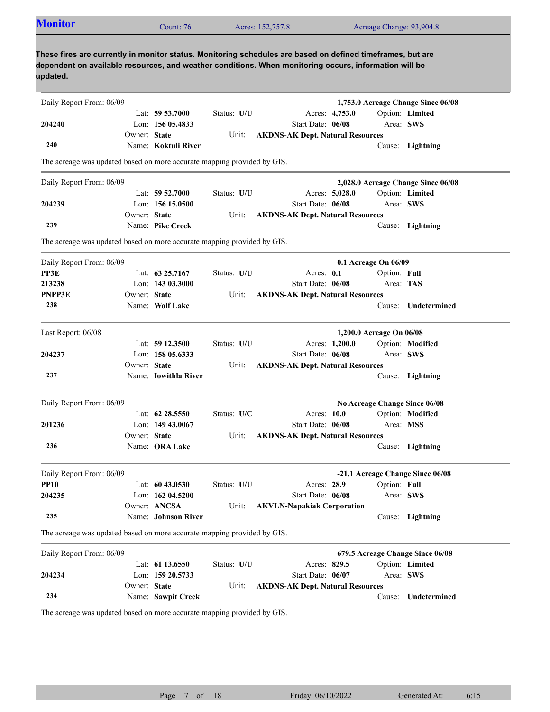| <b>Monitor</b>                                                                                                                                                                                                                  |              | Count: 76                   |               | Acres: 152,757.8                        |                |                          | Acreage Change: 93,904.8                            |
|---------------------------------------------------------------------------------------------------------------------------------------------------------------------------------------------------------------------------------|--------------|-----------------------------|---------------|-----------------------------------------|----------------|--------------------------|-----------------------------------------------------|
| These fires are currently in monitor status. Monitoring schedules are based on defined timeframes, but are<br>dependent on available resources, and weather conditions. When monitoring occurs, information will be<br>updated. |              |                             |               |                                         |                |                          |                                                     |
| Daily Report From: 06/09                                                                                                                                                                                                        |              |                             |               |                                         |                |                          | 1,753.0 Acreage Change Since 06/08                  |
|                                                                                                                                                                                                                                 |              | Lat: $59\,53.7000$          | Status: U/U   |                                         | Acres: 4,753.0 |                          | Option: Limited                                     |
| 204240                                                                                                                                                                                                                          |              | Lon: $15605.4833$           |               | Start Date: 06/08                       |                | Area: SWS                |                                                     |
|                                                                                                                                                                                                                                 | Owner: State |                             | Unit:         | <b>AKDNS-AK Dept. Natural Resources</b> |                |                          |                                                     |
| 240                                                                                                                                                                                                                             |              | Name: Koktuli River         |               |                                         |                |                          | Cause: Lightning                                    |
| The acreage was updated based on more accurate mapping provided by GIS.                                                                                                                                                         |              |                             |               |                                         |                |                          |                                                     |
| Daily Report From: 06/09                                                                                                                                                                                                        |              |                             |               |                                         |                |                          | 2,028.0 Acreage Change Since 06/08                  |
|                                                                                                                                                                                                                                 |              | Lat: 59 52.7000             | Status: U/U   |                                         | Acres: 5,028.0 |                          | Option: Limited                                     |
| 204239                                                                                                                                                                                                                          |              | Lon: 156 15.0500            |               | Start Date: 06/08                       |                | Area: SWS                |                                                     |
|                                                                                                                                                                                                                                 | Owner: State |                             | Unit:         | <b>AKDNS-AK Dept. Natural Resources</b> |                |                          |                                                     |
| 239                                                                                                                                                                                                                             |              | Name: Pike Creek            |               |                                         |                |                          | Cause: Lightning                                    |
| The acreage was updated based on more accurate mapping provided by GIS.                                                                                                                                                         |              |                             |               |                                         |                |                          |                                                     |
| Daily Report From: 06/09                                                                                                                                                                                                        |              |                             |               |                                         |                | 0.1 Acreage On 06/09     |                                                     |
| PP3E                                                                                                                                                                                                                            |              | Lat: $6325.7167$            | Status: U/U   |                                         | Acres: $0.1$   | Option: Full             |                                                     |
| 213238                                                                                                                                                                                                                          |              | Lon: 143 03.3000            |               | Start Date: 06/08                       |                | Area: TAS                |                                                     |
| <b>PNPP3E</b>                                                                                                                                                                                                                   | Owner: State |                             | Unit:         | <b>AKDNS-AK Dept. Natural Resources</b> |                |                          |                                                     |
| 238                                                                                                                                                                                                                             |              | Name: Wolf Lake             |               |                                         |                |                          | Cause: Undetermined                                 |
| Last Report: 06/08                                                                                                                                                                                                              |              |                             |               |                                         |                | 1,200.0 Acreage On 06/08 |                                                     |
|                                                                                                                                                                                                                                 |              | Lat: $5912.3500$            | Status: U/U   |                                         | Acres: 1,200.0 |                          | Option: Modified                                    |
| 204237                                                                                                                                                                                                                          |              | Lon: $15805.6333$           |               | Start Date: 06/08                       |                |                          | Area: SWS                                           |
|                                                                                                                                                                                                                                 | Owner: State |                             | Unit:         | <b>AKDNS-AK Dept. Natural Resources</b> |                |                          |                                                     |
| 237                                                                                                                                                                                                                             |              | Name: <b>Iowithla River</b> |               |                                         |                |                          | Cause: Lightning                                    |
| Daily Report From: 06/09                                                                                                                                                                                                        |              |                             |               |                                         |                |                          | No Acreage Change Since 06/08                       |
|                                                                                                                                                                                                                                 |              | Lat: 62 28.5550             | Status: $U/C$ |                                         | Acres: 10.0    |                          | Option: Modified                                    |
| 201236                                                                                                                                                                                                                          |              | Lon: 149 43.0067            |               | Start Date: 06/08                       |                | Area: MSS                |                                                     |
|                                                                                                                                                                                                                                 | Owner: State |                             | Unit:         | <b>AKDNS-AK Dept. Natural Resources</b> |                |                          |                                                     |
| 236                                                                                                                                                                                                                             |              | Name: ORA Lake              |               |                                         |                |                          | Cause: Lightning                                    |
| Daily Report From: 06/09                                                                                                                                                                                                        |              |                             |               |                                         |                |                          | -21.1 Acreage Change Since 06/08                    |
| <b>PP10</b>                                                                                                                                                                                                                     |              | Lat: $6043.0530$            | Status: U/U   |                                         | Acres: 28.9    | Option: Full             |                                                     |
| 204235                                                                                                                                                                                                                          |              | Lon: 162 04.5200            |               | Start Date: 06/08                       |                |                          | Area: SWS                                           |
|                                                                                                                                                                                                                                 |              | Owner: ANCSA                | Unit:         | <b>AKVLN-Napakiak Corporation</b>       |                |                          |                                                     |
| 235                                                                                                                                                                                                                             |              | Name: Johnson River         |               |                                         |                |                          | Cause: Lightning                                    |
| The acreage was updated based on more accurate mapping provided by GIS.                                                                                                                                                         |              |                             |               |                                         |                |                          |                                                     |
|                                                                                                                                                                                                                                 |              |                             |               |                                         |                |                          |                                                     |
| Daily Report From: 06/09                                                                                                                                                                                                        |              | Lat: 61 13.6550             | Status: U/U   |                                         | Acres: 829.5   |                          | 679.5 Acreage Change Since 06/08<br>Option: Limited |
| 204234                                                                                                                                                                                                                          |              | Lon: 159 20.5733            |               | Start Date: 06/07                       |                |                          | Area: SWS                                           |
|                                                                                                                                                                                                                                 | Owner: State |                             | Unit:         | <b>AKDNS-AK Dept. Natural Resources</b> |                |                          |                                                     |
|                                                                                                                                                                                                                                 |              | Name: Sawpit Creek          |               |                                         |                |                          |                                                     |
| 234                                                                                                                                                                                                                             |              |                             |               |                                         |                | Cause:                   | Undetermined                                        |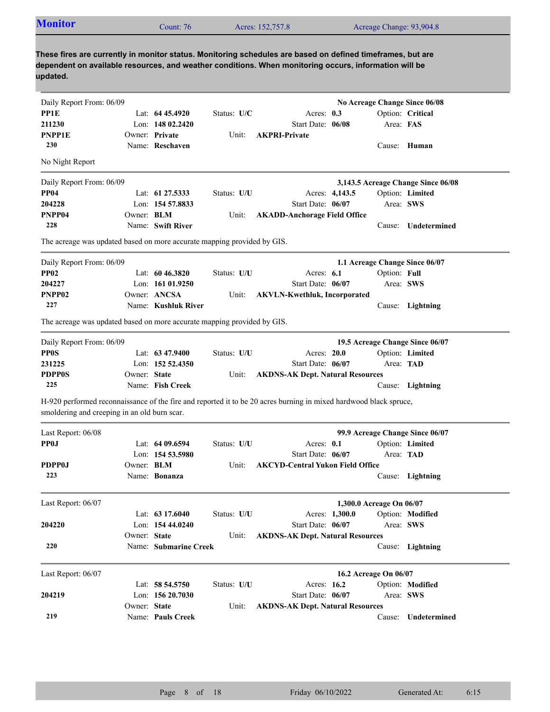|                                                                                                                                                                                         |              | Count: 76             |             | Acres: 152,757.8                                                                                                                                                                                                    |                          |              | Acreage Change: 93,904.8           |
|-----------------------------------------------------------------------------------------------------------------------------------------------------------------------------------------|--------------|-----------------------|-------------|---------------------------------------------------------------------------------------------------------------------------------------------------------------------------------------------------------------------|--------------------------|--------------|------------------------------------|
| updated.                                                                                                                                                                                |              |                       |             | These fires are currently in monitor status. Monitoring schedules are based on defined timeframes, but are<br>dependent on available resources, and weather conditions. When monitoring occurs, information will be |                          |              |                                    |
| Daily Report From: 06/09                                                                                                                                                                |              |                       |             |                                                                                                                                                                                                                     |                          |              | No Acreage Change Since 06/08      |
| PP1E                                                                                                                                                                                    |              | Lat: $6445.4920$      | Status: U/C | Acres: $0.3$                                                                                                                                                                                                        |                          |              | Option: Critical                   |
| 211230                                                                                                                                                                                  |              | Lon: 148 02.2420      |             | Start Date: 06/08                                                                                                                                                                                                   |                          | Area: FAS    |                                    |
| <b>PNPP1E</b>                                                                                                                                                                           |              | Owner: Private        | Unit:       | <b>AKPRI-Private</b>                                                                                                                                                                                                |                          |              |                                    |
| 230                                                                                                                                                                                     |              | Name: Reschaven       |             |                                                                                                                                                                                                                     |                          |              | Cause: Human                       |
| No Night Report                                                                                                                                                                         |              |                       |             |                                                                                                                                                                                                                     |                          |              |                                    |
| Daily Report From: 06/09                                                                                                                                                                |              |                       |             |                                                                                                                                                                                                                     |                          |              | 3,143.5 Acreage Change Since 06/08 |
| <b>PP04</b>                                                                                                                                                                             |              | Lat: 61 27.5333       | Status: U/U |                                                                                                                                                                                                                     | Acres: 4,143.5           |              | Option: Limited                    |
| 204228                                                                                                                                                                                  |              | Lon: 154 57.8833      |             | Start Date: 06/07                                                                                                                                                                                                   |                          |              | Area: SWS                          |
| PNPP04                                                                                                                                                                                  | Owner: BLM   |                       | Unit:       | <b>AKADD-Anchorage Field Office</b>                                                                                                                                                                                 |                          |              |                                    |
| 228                                                                                                                                                                                     |              | Name: Swift River     |             |                                                                                                                                                                                                                     |                          | Cause:       | Undetermined                       |
| The acreage was updated based on more accurate mapping provided by GIS.                                                                                                                 |              |                       |             |                                                                                                                                                                                                                     |                          |              |                                    |
| Daily Report From: 06/09                                                                                                                                                                |              |                       |             |                                                                                                                                                                                                                     |                          |              | 1.1 Acreage Change Since 06/07     |
| <b>PP02</b>                                                                                                                                                                             |              | Lat: $6046.3820$      | Status: U/U | Acres: $6.1$                                                                                                                                                                                                        |                          | Option: Full |                                    |
| 204227                                                                                                                                                                                  |              | Lon: $16101.9250$     |             | Start Date: 06/07                                                                                                                                                                                                   |                          |              | Area: SWS                          |
| PNPP02                                                                                                                                                                                  |              | Owner: ANCSA          | Unit:       | <b>AKVLN-Kwethluk, Incorporated</b>                                                                                                                                                                                 |                          |              |                                    |
| 227                                                                                                                                                                                     |              | Name: Kushluk River   |             |                                                                                                                                                                                                                     |                          |              | Cause: Lightning                   |
| The acreage was updated based on more accurate mapping provided by GIS.                                                                                                                 |              |                       |             |                                                                                                                                                                                                                     |                          |              |                                    |
| Daily Report From: 06/09                                                                                                                                                                |              |                       |             |                                                                                                                                                                                                                     |                          |              | 19.5 Acreage Change Since 06/07    |
| <b>PP0S</b>                                                                                                                                                                             |              | Lat: 63 47.9400       | Status: U/U | Acres: 20.0                                                                                                                                                                                                         |                          |              | Option: Limited                    |
| 231225                                                                                                                                                                                  |              | Lon: 152 52.4350      |             | Start Date: 06/07                                                                                                                                                                                                   |                          |              | Area: TAD                          |
| <b>PDPP0S</b>                                                                                                                                                                           | Owner: State |                       | Unit:       | <b>AKDNS-AK Dept. Natural Resources</b>                                                                                                                                                                             |                          |              |                                    |
|                                                                                                                                                                                         |              | Name: Fish Creek      |             |                                                                                                                                                                                                                     |                          |              | Cause: Lightning                   |
| 225                                                                                                                                                                                     |              |                       |             |                                                                                                                                                                                                                     |                          |              |                                    |
|                                                                                                                                                                                         |              |                       |             |                                                                                                                                                                                                                     |                          |              |                                    |
| H-920 performed reconnaissance of the fire and reported it to be 20 acres burning in mixed hardwood black spruce,<br>smoldering and creeping in an old burn scar.<br>Last Report: 06/08 |              |                       |             |                                                                                                                                                                                                                     |                          |              | 99.9 Acreage Change Since 06/07    |
| <b>PP0J</b>                                                                                                                                                                             |              | Lat: $6409.6594$      | Status: U/U | Acres: 0.1                                                                                                                                                                                                          |                          |              | Option: Limited                    |
|                                                                                                                                                                                         |              | Lon: 154 53.5980      |             | Start Date: 06/07                                                                                                                                                                                                   |                          |              | Area: TAD                          |
| <b>PDPP0J</b>                                                                                                                                                                           | Owner: BLM   |                       | Unit:       | <b>AKCYD-Central Yukon Field Office</b>                                                                                                                                                                             |                          |              |                                    |
| 223                                                                                                                                                                                     |              | Name: Bonanza         |             |                                                                                                                                                                                                                     |                          |              | Cause: Lightning                   |
| Last Report: 06/07                                                                                                                                                                      |              |                       |             |                                                                                                                                                                                                                     | 1,300.0 Acreage On 06/07 |              |                                    |
|                                                                                                                                                                                         |              | Lat: $63\,17.6040$    | Status: U/U |                                                                                                                                                                                                                     | Acres: 1,300.0           |              | Option: Modified                   |
|                                                                                                                                                                                         |              | Lon: 154 44.0240      |             | Start Date: 06/07                                                                                                                                                                                                   |                          |              | Area: SWS                          |
| 204220                                                                                                                                                                                  | Owner: State |                       | Unit:       | <b>AKDNS-AK Dept. Natural Resources</b>                                                                                                                                                                             |                          |              |                                    |
| 220                                                                                                                                                                                     |              | Name: Submarine Creek |             |                                                                                                                                                                                                                     |                          |              | Cause: Lightning                   |
|                                                                                                                                                                                         |              |                       |             |                                                                                                                                                                                                                     | 16.2 Acreage On 06/07    |              |                                    |
|                                                                                                                                                                                         |              | Lat: 58 54.5750       | Status: U/U | Acres: 16.2                                                                                                                                                                                                         |                          |              | Option: Modified                   |
|                                                                                                                                                                                         |              | Lon: 156 20.7030      |             | Start Date: 06/07                                                                                                                                                                                                   |                          |              | Area: SWS                          |
| Last Report: 06/07<br>204219                                                                                                                                                            | Owner: State |                       | Unit:       | <b>AKDNS-AK Dept. Natural Resources</b>                                                                                                                                                                             |                          |              |                                    |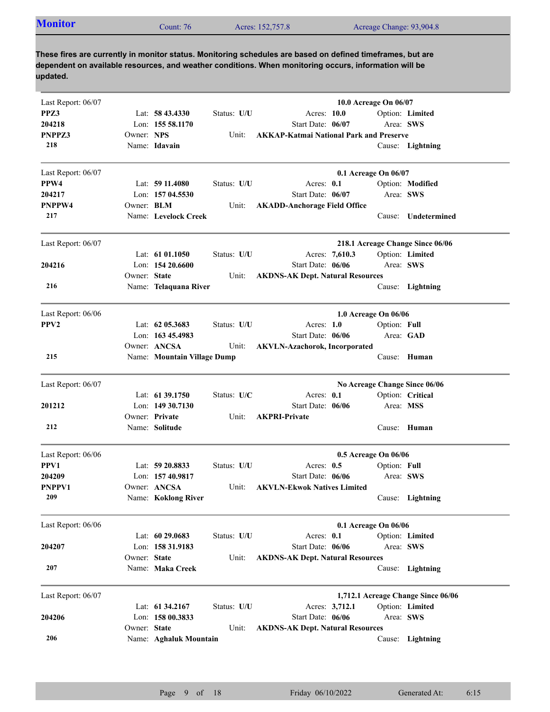| <b>Monitor</b><br>Acres: 152,757.8<br>Acreage Change: 93,904.8<br>$2$ ount: 76 |
|--------------------------------------------------------------------------------|
|--------------------------------------------------------------------------------|

| Last Report: 06/07 |                   |                             |             |                                                | 10.0 Acreage On 06/07 |              |                                    |
|--------------------|-------------------|-----------------------------|-------------|------------------------------------------------|-----------------------|--------------|------------------------------------|
| PPZ3               |                   | Lat: $58\,43.4330$          | Status: U/U | Acres: 10.0                                    |                       |              | Option: Limited                    |
| 204218             |                   | Lon: 155 58.1170            |             | Start Date: 06/07                              |                       | Area: SWS    |                                    |
| PNPPZ3             | Owner: NPS        |                             | Unit:       | <b>AKKAP-Katmai National Park and Preserve</b> |                       |              |                                    |
| 218                |                   | Name: Idavain               |             |                                                |                       |              | Cause: Lightning                   |
| Last Report: 06/07 |                   |                             |             |                                                | 0.1 Acreage On 06/07  |              |                                    |
| PPW4               |                   | Lat: $5911.4080$            | Status: U/U | Acres: 0.1                                     |                       |              | Option: Modified                   |
| 204217             |                   | Lon: 157 04.5530            |             | Start Date: 06/07                              |                       | Area: SWS    |                                    |
| PNPPW4             | Owner: <b>BLM</b> |                             | Unit:       | <b>AKADD-Anchorage Field Office</b>            |                       |              |                                    |
| 217                |                   | Name: Levelock Creek        |             |                                                |                       | Cause:       | Undetermined                       |
| Last Report: 06/07 |                   |                             |             |                                                |                       |              | 218.1 Acreage Change Since 06/06   |
|                    |                   | Lat: $61\,01.1050$          | Status: U/U | Acres: 7,610.3                                 |                       |              | Option: Limited                    |
| 204216             |                   | Lon: $15420.6600$           |             | Start Date: 06/06                              |                       | Area: SWS    |                                    |
|                    | Owner: State      |                             | Unit:       | <b>AKDNS-AK Dept. Natural Resources</b>        |                       |              |                                    |
| 216                |                   | Name: Telaquana River       |             |                                                |                       |              | Cause: Lightning                   |
| Last Report: 06/06 |                   |                             |             |                                                | 1.0 Acreage On 06/06  |              |                                    |
| PPV <sub>2</sub>   |                   | Lat: $62\,05.3683$          | Status: U/U | Acres: $1.0$                                   |                       | Option: Full |                                    |
|                    |                   | Lon: 163 45.4983            |             | Start Date: 06/06                              |                       | Area: GAD    |                                    |
|                    |                   | Owner: ANCSA                | Unit:       | <b>AKVLN-Azachorok, Incorporated</b>           |                       |              |                                    |
| 215                |                   | Name: Mountain Village Dump |             |                                                |                       |              | Cause: Human                       |
| Last Report: 06/07 |                   |                             |             |                                                |                       |              | No Acreage Change Since 06/06      |
|                    |                   | Lat: 61 39.1750             | Status: U/C | Acres: 0.1                                     |                       |              | Option: Critical                   |
| 201212             |                   | Lon: 149 30.7130            |             | Start Date: 06/06                              |                       | Area: MSS    |                                    |
|                    |                   | Owner: Private              | Unit:       | <b>AKPRI-Private</b>                           |                       |              |                                    |
| 212                |                   | Name: Solitude              |             |                                                |                       |              | Cause: Human                       |
| Last Report: 06/06 |                   |                             |             |                                                | 0.5 Acreage On 06/06  |              |                                    |
| PPV1               |                   | Lat: 59 20.8833             | Status: U/U | Acres: $0.5$                                   |                       | Option: Full |                                    |
| 204209             |                   | Lon: 157 40.9817            |             | Start Date: 06/06                              |                       | Area: SWS    |                                    |
| PNPPV1             |                   | Owner: ANCSA                | Unit:       | <b>AKVLN-Ekwok Natives Limited</b>             |                       |              |                                    |
| 209                |                   | Name: Koklong River         |             |                                                |                       |              | Cause: Lightning                   |
| Last Report: 06/06 |                   |                             |             |                                                | 0.1 Acreage On 06/06  |              |                                    |
|                    |                   | Lat: 60 29.0683             | Status: U/U | Acres: 0.1                                     |                       |              | Option: Limited                    |
| 204207             |                   | Lon: 158 31.9183            |             | Start Date: 06/06                              |                       | Area: SWS    |                                    |
|                    | Owner: State      |                             | Unit:       | <b>AKDNS-AK Dept. Natural Resources</b>        |                       |              |                                    |
| 207                |                   | Name: Maka Creek            |             |                                                |                       | Cause:       | Lightning                          |
| Last Report: 06/07 |                   |                             |             |                                                |                       |              | 1,712.1 Acreage Change Since 06/06 |
|                    |                   | Lat: 61 34.2167             | Status: U/U | Acres: 3,712.1                                 |                       |              | Option: Limited                    |
| 204206             |                   | Lon: 158 00.3833            |             | Start Date: 06/06                              |                       | Area: SWS    |                                    |
|                    | Owner: State      |                             | Unit:       | <b>AKDNS-AK Dept. Natural Resources</b>        |                       |              |                                    |
| 206                |                   | Name: Aghaluk Mountain      |             |                                                |                       |              | Cause: Lightning                   |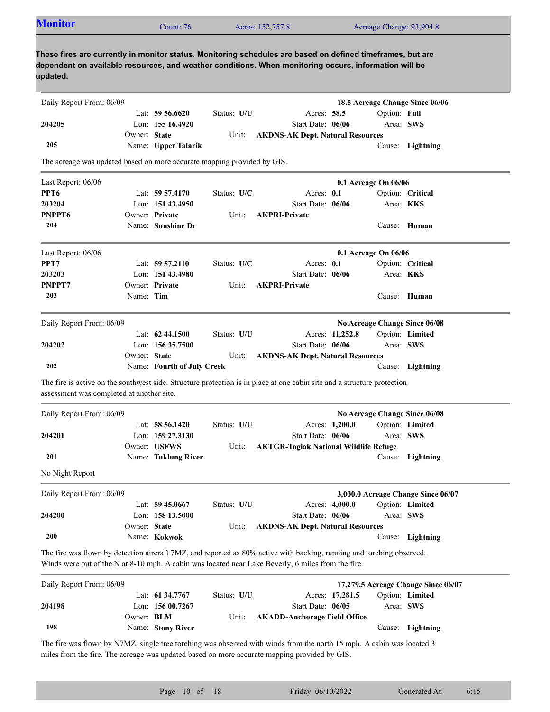| <b>Monitor</b>                                                          |              | Count: 76                  |             | Acres: 152,757.8                                                                                                                                                                                                            |                 | Acreage Change: 93,904.8 |                                                  |
|-------------------------------------------------------------------------|--------------|----------------------------|-------------|-----------------------------------------------------------------------------------------------------------------------------------------------------------------------------------------------------------------------------|-----------------|--------------------------|--------------------------------------------------|
| updated.                                                                |              |                            |             | These fires are currently in monitor status. Monitoring schedules are based on defined timeframes, but are<br>dependent on available resources, and weather conditions. When monitoring occurs, information will be         |                 |                          |                                                  |
| Daily Report From: 06/09                                                |              |                            |             |                                                                                                                                                                                                                             |                 |                          | 18.5 Acreage Change Since 06/06                  |
|                                                                         |              | Lat: $59\,56.6620$         | Status: U/U |                                                                                                                                                                                                                             | Acres: 58.5     | Option: Full             |                                                  |
| 204205                                                                  |              | Lon: 155 16.4920           |             | Start Date: 06/06                                                                                                                                                                                                           |                 |                          | Area: SWS                                        |
|                                                                         | Owner: State |                            | Unit:       | <b>AKDNS-AK Dept. Natural Resources</b>                                                                                                                                                                                     |                 |                          |                                                  |
| 205                                                                     |              | Name: Upper Talarik        |             |                                                                                                                                                                                                                             |                 |                          | Cause: Lightning                                 |
| The acreage was updated based on more accurate mapping provided by GIS. |              |                            |             |                                                                                                                                                                                                                             |                 |                          |                                                  |
| Last Report: 06/06                                                      |              |                            |             |                                                                                                                                                                                                                             |                 | 0.1 Acreage On 06/06     |                                                  |
| PPT <sub>6</sub>                                                        |              | Lat: 59 57.4170            | Status: U/C |                                                                                                                                                                                                                             | Acres: 0.1      |                          | Option: Critical                                 |
| 203204                                                                  |              | Lon: 151 43.4950           |             | Start Date: 06/06                                                                                                                                                                                                           |                 |                          | Area: KKS                                        |
| PNPPT <sub>6</sub>                                                      |              | Owner: Private             | Unit:       | <b>AKPRI-Private</b>                                                                                                                                                                                                        |                 |                          |                                                  |
| 204                                                                     |              | Name: Sunshine Dr          |             |                                                                                                                                                                                                                             |                 |                          | Cause: Human                                     |
| Last Report: 06/06                                                      |              |                            |             |                                                                                                                                                                                                                             |                 | 0.1 Acreage On 06/06     |                                                  |
| PPT7                                                                    |              | Lat: $59\,57.2110$         | Status: U/C |                                                                                                                                                                                                                             | Acres: $0.1$    |                          | Option: Critical                                 |
| 203203                                                                  |              | Lon: 151 43.4980           |             | Start Date: 06/06                                                                                                                                                                                                           |                 |                          | Area: KKS                                        |
| PNPPT7                                                                  |              | Owner: Private             | Unit:       | <b>AKPRI-Private</b>                                                                                                                                                                                                        |                 |                          |                                                  |
| 203                                                                     | Name: Tim    |                            |             |                                                                                                                                                                                                                             |                 |                          | Cause: Human                                     |
|                                                                         |              |                            |             |                                                                                                                                                                                                                             |                 |                          |                                                  |
| Daily Report From: 06/09                                                |              | Lat: $62\,44.1500$         | Status: U/U |                                                                                                                                                                                                                             | Acres: 11,252.8 |                          | No Acreage Change Since 06/08<br>Option: Limited |
| 204202                                                                  |              | Lon: $15635.7500$          |             | Start Date: 06/06                                                                                                                                                                                                           |                 |                          | Area: SWS                                        |
|                                                                         | Owner: State |                            | Unit:       | <b>AKDNS-AK Dept. Natural Resources</b>                                                                                                                                                                                     |                 |                          |                                                  |
| 202                                                                     |              | Name: Fourth of July Creek |             |                                                                                                                                                                                                                             |                 |                          | Cause: Lightning                                 |
|                                                                         |              |                            |             | The fire is active on the southwest side. Structure protection is in place at one cabin site and a structure protection                                                                                                     |                 |                          |                                                  |
| assessment was completed at another site.                               |              |                            |             |                                                                                                                                                                                                                             |                 |                          |                                                  |
| Daily Report From: 06/09                                                |              |                            |             |                                                                                                                                                                                                                             |                 |                          | No Acreage Change Since 06/08                    |
|                                                                         |              | Lat: 58 56.1420            | Status: U/U |                                                                                                                                                                                                                             | Acres: 1,200.0  |                          | Option: Limited                                  |
| 204201                                                                  |              | Lon: 159 27.3130           |             | Start Date: 06/06                                                                                                                                                                                                           |                 |                          | Area: SWS                                        |
|                                                                         |              | Owner: USFWS               | Unit:       | <b>AKTGR-Togiak National Wildlife Refuge</b>                                                                                                                                                                                |                 |                          |                                                  |
| 201                                                                     |              | Name: Tuklung River        |             |                                                                                                                                                                                                                             |                 |                          | Cause: Lightning                                 |
| No Night Report                                                         |              |                            |             |                                                                                                                                                                                                                             |                 |                          |                                                  |
| Daily Report From: 06/09                                                |              |                            |             |                                                                                                                                                                                                                             |                 |                          | 3,000.0 Acreage Change Since 06/07               |
|                                                                         |              | Lat: 59 45.0667            | Status: U/U |                                                                                                                                                                                                                             | Acres: 4,000.0  |                          | Option: Limited                                  |
| 204200                                                                  |              | Lon: 158 13.5000           |             | Start Date: 06/06                                                                                                                                                                                                           |                 |                          | Area: SWS                                        |
|                                                                         | Owner: State |                            | Unit:       | <b>AKDNS-AK Dept. Natural Resources</b>                                                                                                                                                                                     |                 |                          |                                                  |
| <b>200</b>                                                              |              | Name: Kokwok               |             |                                                                                                                                                                                                                             |                 |                          | Cause: Lightning                                 |
|                                                                         |              |                            |             | The fire was flown by detection aircraft 7MZ, and reported as 80% active with backing, running and torching observed.<br>Winds were out of the N at 8-10 mph. A cabin was located near Lake Beverly, 6 miles from the fire. |                 |                          |                                                  |
| Daily Report From: 06/09                                                |              |                            |             |                                                                                                                                                                                                                             |                 |                          | 17,279.5 Acreage Change Since 06/07              |
|                                                                         |              | Lat: 61 34.7767            | Status: U/U |                                                                                                                                                                                                                             | Acres: 17,281.5 |                          | Option: Limited                                  |
| 204198                                                                  |              | Lon: 156 00.7267           |             | Start Date: 06/05                                                                                                                                                                                                           |                 |                          | Area: SWS                                        |
|                                                                         | Owner: BLM   |                            | Unit:       | <b>AKADD-Anchorage Field Office</b>                                                                                                                                                                                         |                 |                          |                                                  |
|                                                                         |              |                            |             |                                                                                                                                                                                                                             |                 |                          |                                                  |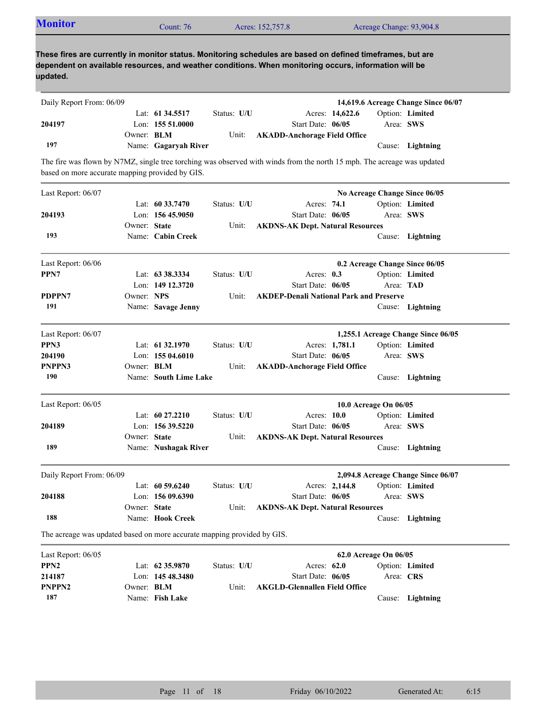|--|

| Daily Report From: 06/09                                                |                   |                       |             |                                                                                                                         |                                |           | 14,619.6 Acreage Change Since 06/07 |
|-------------------------------------------------------------------------|-------------------|-----------------------|-------------|-------------------------------------------------------------------------------------------------------------------------|--------------------------------|-----------|-------------------------------------|
|                                                                         |                   | Lat: 61 34.5517       | Status: U/U | Acres: 14,622.6                                                                                                         |                                |           | Option: Limited                     |
| 204197                                                                  |                   | Lon: 155 51.0000      |             | Start Date: 06/05                                                                                                       |                                | Area: SWS |                                     |
|                                                                         | Owner: BLM        |                       | Unit:       | <b>AKADD-Anchorage Field Office</b>                                                                                     |                                |           |                                     |
| 197                                                                     |                   | Name: Gagaryah River  |             |                                                                                                                         |                                |           | Cause: Lightning                    |
|                                                                         |                   |                       |             | The fire was flown by N7MZ, single tree torching was observed with winds from the north 15 mph. The acreage was updated |                                |           |                                     |
| based on more accurate mapping provided by GIS.                         |                   |                       |             |                                                                                                                         |                                |           |                                     |
| Last Report: 06/07                                                      |                   |                       |             |                                                                                                                         | No Acreage Change Since 06/05  |           |                                     |
|                                                                         |                   | Lat: $60\,33.7470$    | Status: U/U | Acres: 74.1                                                                                                             |                                |           | Option: Limited                     |
| 204193                                                                  |                   | Lon: $15645.9050$     |             | Start Date: 06/05                                                                                                       |                                | Area: SWS |                                     |
|                                                                         | Owner: State      |                       | Unit:       | <b>AKDNS-AK Dept. Natural Resources</b>                                                                                 |                                |           |                                     |
| 193                                                                     |                   | Name: Cabin Creek     |             |                                                                                                                         |                                |           | Cause: Lightning                    |
| Last Report: 06/06                                                      |                   |                       |             |                                                                                                                         | 0.2 Acreage Change Since 06/05 |           |                                     |
| PPN7                                                                    |                   | Lat: 63 38.3334       | Status: U/U | Acres: $0.3$                                                                                                            |                                |           | Option: Limited                     |
|                                                                         |                   | Lon: 149 12.3720      |             | Start Date: 06/05                                                                                                       |                                | Area: TAD |                                     |
| PDPPN7                                                                  | Owner: NPS        |                       | Unit:       | <b>AKDEP-Denali National Park and Preserve</b>                                                                          |                                |           |                                     |
| 191                                                                     |                   | Name: Savage Jenny    |             |                                                                                                                         |                                |           | Cause: Lightning                    |
| Last Report: 06/07                                                      |                   |                       |             |                                                                                                                         |                                |           | 1,255.1 Acreage Change Since 06/05  |
| PPN3                                                                    |                   | Lat: 61 32.1970       | Status: U/U | Acres: 1,781.1                                                                                                          |                                |           | Option: Limited                     |
| 204190                                                                  |                   | Lon: 155 04.6010      |             | Start Date: 06/05                                                                                                       |                                | Area: SWS |                                     |
| PNPPN3                                                                  | Owner: BLM        |                       | Unit:       | <b>AKADD-Anchorage Field Office</b>                                                                                     |                                |           |                                     |
| 190                                                                     |                   | Name: South Lime Lake |             |                                                                                                                         |                                |           | Cause: Lightning                    |
| Last Report: 06/05                                                      |                   |                       |             |                                                                                                                         | 10.0 Acreage On 06/05          |           |                                     |
|                                                                         |                   | Lat: 60 27.2210       | Status: U/U | Acres: 10.0                                                                                                             |                                |           | Option: Limited                     |
| 204189                                                                  |                   | Lon: 156 39.5220      |             | Start Date: 06/05                                                                                                       |                                | Area: SWS |                                     |
|                                                                         | Owner: State      |                       | Unit:       | <b>AKDNS-AK Dept. Natural Resources</b>                                                                                 |                                |           |                                     |
| 189                                                                     |                   | Name: Nushagak River  |             |                                                                                                                         |                                |           | Cause: Lightning                    |
| Daily Report From: 06/09                                                |                   |                       |             |                                                                                                                         |                                |           | 2,094.8 Acreage Change Since 06/07  |
|                                                                         |                   | Lat: $60\,59.6240$    | Status: U/U | Acres: 2,144.8                                                                                                          |                                |           | Option: Limited                     |
| 204188                                                                  |                   | Lon: 156 09.6390      |             | Start Date: 06/05                                                                                                       |                                | Area: SWS |                                     |
|                                                                         | Owner: State      |                       | Unit:       | <b>AKDNS-AK Dept. Natural Resources</b>                                                                                 |                                |           |                                     |
| 188                                                                     |                   | Name: Hook Creek      |             |                                                                                                                         |                                |           | Cause: Lightning                    |
| The acreage was updated based on more accurate mapping provided by GIS. |                   |                       |             |                                                                                                                         |                                |           |                                     |
| Last Report: 06/05                                                      |                   |                       |             |                                                                                                                         | 62.0 Acreage On 06/05          |           |                                     |
| PPN <sub>2</sub>                                                        |                   | Lat: 62 35.9870       | Status: U/U | Acres: 62.0                                                                                                             |                                |           | Option: Limited                     |
| 214187                                                                  |                   | Lon: 145 48.3480      |             | Start Date: 06/05                                                                                                       |                                | Area: CRS |                                     |
| PNPPN <sub>2</sub>                                                      | Owner: <b>BLM</b> |                       | Unit:       | <b>AKGLD-Glennallen Field Office</b>                                                                                    |                                |           |                                     |
| 187                                                                     |                   | Name: Fish Lake       |             |                                                                                                                         |                                |           | Cause: Lightning                    |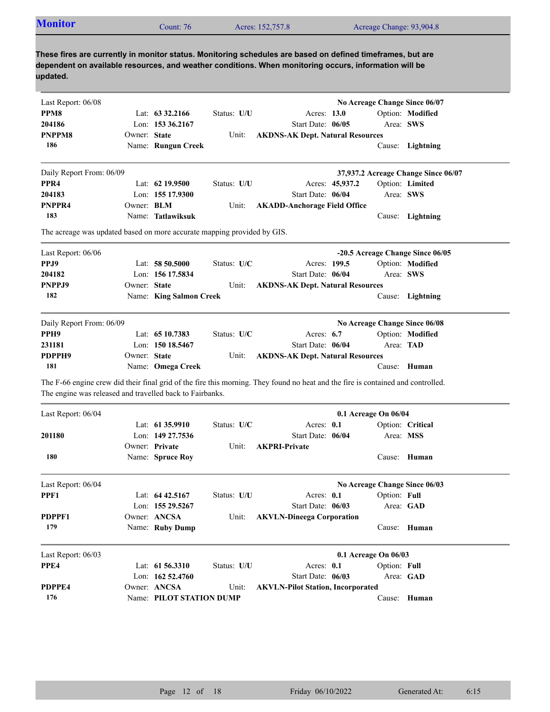| <b>Monitor</b>                                                                                                                                                                                                                  |                   | Count: 76               |             | Acres: 152,757.8                         |                   |                 |                      | Acreage Change: 93,904.8            |
|---------------------------------------------------------------------------------------------------------------------------------------------------------------------------------------------------------------------------------|-------------------|-------------------------|-------------|------------------------------------------|-------------------|-----------------|----------------------|-------------------------------------|
| These fires are currently in monitor status. Monitoring schedules are based on defined timeframes, but are<br>dependent on available resources, and weather conditions. When monitoring occurs, information will be<br>updated. |                   |                         |             |                                          |                   |                 |                      |                                     |
| Last Report: 06/08                                                                                                                                                                                                              |                   |                         |             |                                          |                   |                 |                      | No Acreage Change Since 06/07       |
| PPM8                                                                                                                                                                                                                            |                   | Lat: $63\,32.2166$      | Status: U/U |                                          | Acres: 13.0       |                 |                      | Option: Modified                    |
| 204186                                                                                                                                                                                                                          |                   | Lon: $153\,36.2167$     |             |                                          | Start Date: 06/05 |                 |                      | Area: SWS                           |
| PNPPM8                                                                                                                                                                                                                          | Owner: State      |                         | Unit:       | <b>AKDNS-AK Dept. Natural Resources</b>  |                   |                 |                      |                                     |
| 186                                                                                                                                                                                                                             |                   | Name: Rungun Creek      |             |                                          |                   |                 |                      | Cause: Lightning                    |
| Daily Report From: 06/09                                                                                                                                                                                                        |                   |                         |             |                                          |                   |                 |                      | 37,937.2 Acreage Change Since 06/07 |
| PPR <sub>4</sub>                                                                                                                                                                                                                |                   | Lat: $62$ 19.9500       | Status: U/U |                                          |                   | Acres: 45,937.2 |                      | Option: Limited                     |
| 204183                                                                                                                                                                                                                          |                   | Lon: 155 17.9300        |             |                                          | Start Date: 06/04 |                 |                      | Area: SWS                           |
| PNPPR4                                                                                                                                                                                                                          | Owner: <b>BLM</b> |                         | Unit:       | <b>AKADD-Anchorage Field Office</b>      |                   |                 |                      |                                     |
| 183                                                                                                                                                                                                                             |                   | Name: Tatlawiksuk       |             |                                          |                   |                 |                      | Cause: Lightning                    |
| The acreage was updated based on more accurate mapping provided by GIS.                                                                                                                                                         |                   |                         |             |                                          |                   |                 |                      |                                     |
| Last Report: 06/06                                                                                                                                                                                                              |                   |                         |             |                                          |                   |                 |                      | -20.5 Acreage Change Since 06/05    |
| PPJ9                                                                                                                                                                                                                            |                   | Lat: $58\,50.5000$      | Status: U/C |                                          | Acres: 199.5      |                 |                      | Option: Modified                    |
| 204182                                                                                                                                                                                                                          |                   | Lon: 156 17.5834        |             |                                          | Start Date: 06/04 |                 |                      | Area: SWS                           |
| PNPPJ9                                                                                                                                                                                                                          | Owner: State      |                         | Unit:       | <b>AKDNS-AK Dept. Natural Resources</b>  |                   |                 |                      |                                     |
| 182                                                                                                                                                                                                                             |                   | Name: King Salmon Creek |             |                                          |                   |                 |                      | Cause: Lightning                    |
| Daily Report From: 06/09                                                                                                                                                                                                        |                   |                         |             |                                          |                   |                 |                      | No Acreage Change Since 06/08       |
| PPH <sub>9</sub>                                                                                                                                                                                                                |                   | Lat: 65 10.7383         | Status: U/C |                                          | Acres: $6.7$      |                 |                      | Option: Modified                    |
| 231181                                                                                                                                                                                                                          |                   | Lon: 150 18.5467        |             |                                          | Start Date: 06/04 |                 | Area: TAD            |                                     |
| PDPPH9                                                                                                                                                                                                                          | Owner: State      |                         | Unit:       | <b>AKDNS-AK Dept. Natural Resources</b>  |                   |                 |                      |                                     |
| 181                                                                                                                                                                                                                             |                   | Name: Omega Creek       |             |                                          |                   |                 |                      | Cause: Human                        |
| The F-66 engine crew did their final grid of the fire this morning. They found no heat and the fire is contained and controlled.<br>The engine was released and travelled back to Fairbanks.                                    |                   |                         |             |                                          |                   |                 |                      |                                     |
| Last Report: 06/04                                                                                                                                                                                                              |                   |                         |             |                                          |                   |                 | 0.1 Acreage On 06/04 |                                     |
|                                                                                                                                                                                                                                 |                   | Lat: 61 35.9910         | Status: U/C |                                          | Acres: 0.1        |                 |                      | Option: Critical                    |
| 201180                                                                                                                                                                                                                          |                   | Lon: 149 27.7536        |             |                                          | Start Date: 06/04 |                 |                      | Area: MSS                           |
|                                                                                                                                                                                                                                 |                   | Owner: Private          | Unit:       | <b>AKPRI-Private</b>                     |                   |                 |                      |                                     |
| 180                                                                                                                                                                                                                             |                   | Name: Spruce Roy        |             |                                          |                   |                 |                      | Cause: Human                        |
|                                                                                                                                                                                                                                 |                   |                         |             |                                          |                   |                 |                      | No Acreage Change Since 06/03       |
| Last Report: 06/04                                                                                                                                                                                                              |                   |                         |             |                                          |                   |                 | Option: Full         |                                     |
|                                                                                                                                                                                                                                 |                   | Lat: $64\,42.5167$      | Status: U/U |                                          | Acres: 0.1        |                 |                      |                                     |
|                                                                                                                                                                                                                                 |                   | Lon: 155 29.5267        |             |                                          | Start Date: 06/03 |                 |                      | Area: GAD                           |
|                                                                                                                                                                                                                                 |                   | Owner: ANCSA            | Unit:       | <b>AKVLN-Dineega Corporation</b>         |                   |                 |                      |                                     |
| PDPPF1<br>179                                                                                                                                                                                                                   |                   | Name: Ruby Dump         |             |                                          |                   |                 |                      | Cause: Human                        |
|                                                                                                                                                                                                                                 |                   |                         |             |                                          |                   |                 | 0.1 Acreage On 06/03 |                                     |
|                                                                                                                                                                                                                                 |                   | Lat: 61 56.3310         | Status: U/U |                                          | Acres: 0.1        |                 | Option: Full         |                                     |
| PPF1<br>Last Report: 06/03<br>PPE4                                                                                                                                                                                              |                   | Lon: 162 52.4760        |             |                                          | Start Date: 06/03 |                 |                      | Area: GAD                           |
| PDPPE4                                                                                                                                                                                                                          |                   | Owner: ANCSA            | Unit:       | <b>AKVLN-Pilot Station, Incorporated</b> |                   |                 |                      |                                     |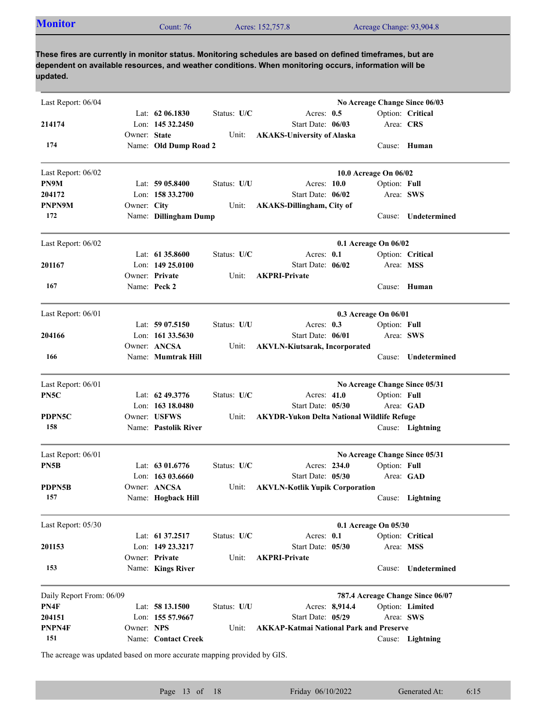| <b>Monitor</b><br>Acreage Change: 93,904.8<br>Acres: 152,757.8<br>Count: 76 |  |
|-----------------------------------------------------------------------------|--|
|-----------------------------------------------------------------------------|--|

| Last Report: 06/04       |              |                       |             |                                                   |                       |              | No Acreage Change Since 06/03    |
|--------------------------|--------------|-----------------------|-------------|---------------------------------------------------|-----------------------|--------------|----------------------------------|
|                          |              | Lat: $62\,06.1830$    | Status: U/C | Acres: $0.5$                                      |                       |              | Option: Critical                 |
| 214174                   |              | Lon: 145 32.2450      |             | Start Date: 06/03                                 |                       | Area: CRS    |                                  |
|                          | Owner: State |                       | Unit:       | <b>AKAKS-University of Alaska</b>                 |                       |              |                                  |
| 174                      |              | Name: Old Dump Road 2 |             |                                                   |                       |              | Cause: Human                     |
| Last Report: 06/02       |              |                       |             |                                                   | 10.0 Acreage On 06/02 |              |                                  |
| PN9M                     |              | Lat: 59 05.8400       | Status: U/U | Acres: 10.0                                       |                       | Option: Full |                                  |
| 204172                   |              | Lon: $1583.2700$      |             | Start Date: 06/02                                 |                       |              | Area: SWS                        |
| PNPN9M                   | Owner: City  |                       | Unit:       | <b>AKAKS-Dillingham, City of</b>                  |                       |              |                                  |
| 172                      |              | Name: Dillingham Dump |             |                                                   |                       | Cause:       | Undetermined                     |
| Last Report: 06/02       |              |                       |             |                                                   | 0.1 Acreage On 06/02  |              |                                  |
|                          |              | Lat: $61\,35.8600$    | Status: U/C | Acres: 0.1                                        |                       |              | Option: Critical                 |
| 201167                   |              | Lon: $14925.0100$     |             | Start Date: 06/02                                 |                       | Area: MSS    |                                  |
|                          |              | Owner: Private        | Unit:       | <b>AKPRI-Private</b>                              |                       |              |                                  |
| 167                      |              | Name: Peck 2          |             |                                                   |                       |              | Cause: Human                     |
| Last Report: 06/01       |              |                       |             |                                                   | 0.3 Acreage On 06/01  |              |                                  |
|                          |              | Lat: $5907.5150$      | Status: U/U | Acres: 0.3                                        |                       | Option: Full |                                  |
| 204166                   |              | Lon: 161 33.5630      |             | Start Date: 06/01                                 |                       | Area: SWS    |                                  |
|                          |              | Owner: ANCSA          | Unit:       | <b>AKVLN-Kiutsarak, Incorporated</b>              |                       |              |                                  |
| 166                      |              | Name: Mumtrak Hill    |             |                                                   |                       |              | Cause: Undetermined              |
| Last Report: 06/01       |              |                       |             |                                                   |                       |              | No Acreage Change Since 05/31    |
| PN5C                     |              | Lat: 62 49.3776       | Status: U/C | Acres: 41.0                                       |                       | Option: Full |                                  |
|                          |              | Lon: 163 18.0480      |             | Start Date: 05/30                                 |                       |              | Area: GAD                        |
| PDPN5C                   |              | Owner: USFWS          | Unit:       | <b>AKYDR-Yukon Delta National Wildlife Refuge</b> |                       |              |                                  |
| 158                      |              | Name: Pastolik River  |             |                                                   |                       |              | Cause: Lightning                 |
| Last Report: 06/01       |              |                       |             |                                                   |                       |              | No Acreage Change Since 05/31    |
| PN5B                     |              | Lat: $6301.6776$      | Status: U/C | Acres: 234.0                                      |                       | Option: Full |                                  |
|                          |              | Lon: $16303.6660$     |             | Start Date: 05/30                                 |                       |              | Area: GAD                        |
| <b>PDPN5B</b>            |              | Owner: ANCSA          | Unit:       | <b>AKVLN-Kotlik Yupik Corporation</b>             |                       |              |                                  |
| 157                      |              | Name: Hogback Hill    |             |                                                   |                       |              | Cause: Lightning                 |
| Last Report: 05/30       |              |                       |             |                                                   | 0.1 Acreage On 05/30  |              |                                  |
|                          |              | Lat: 61 37.2517       | Status: U/C | Acres: 0.1                                        |                       |              | Option: Critical                 |
| 201153                   |              | Lon: 149 23.3217      |             | Start Date: 05/30                                 |                       |              | Area: MSS                        |
|                          |              | Owner: Private        | Unit:       | <b>AKPRI-Private</b>                              |                       |              |                                  |
| 153                      |              | Name: Kings River     |             |                                                   |                       |              | Cause: Undetermined              |
| Daily Report From: 06/09 |              |                       |             |                                                   |                       |              | 787.4 Acreage Change Since 06/07 |
| PN4F                     |              | Lat: 58 13.1500       | Status: U/U | Acres: 8,914.4                                    |                       |              | Option: Limited                  |
| 204151                   |              | Lon: 155 57.9667      |             | Start Date: 05/29                                 |                       |              | Area: SWS                        |
| PNPN4F                   | Owner: NPS   |                       | Unit:       | <b>AKKAP-Katmai National Park and Preserve</b>    |                       |              |                                  |
| 151                      |              | Name: Contact Creek   |             |                                                   |                       |              | Cause: Lightning                 |

The acreage was updated based on more accurate mapping provided by GIS.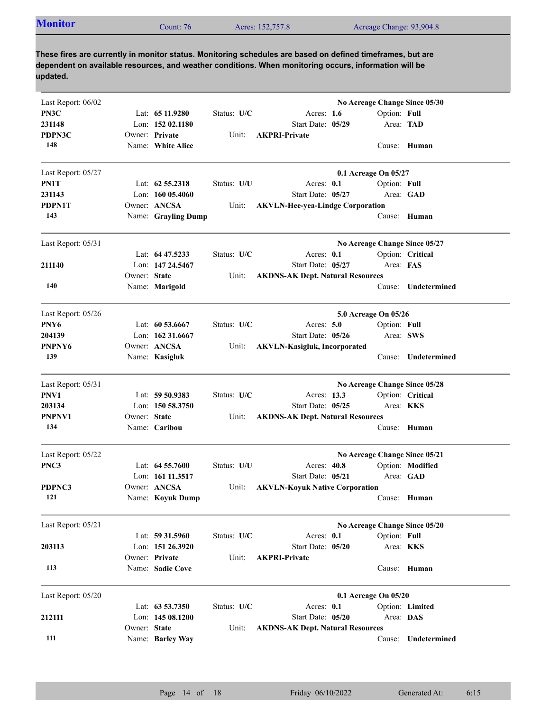| <b>Monitor</b><br>Acreage Change: 93,904.8<br>Acres: 152,757.8<br>Count: 76 |  |  |  |  |
|-----------------------------------------------------------------------------|--|--|--|--|
|-----------------------------------------------------------------------------|--|--|--|--|

| Last Report: 06/02<br>PN3C |              | Lat: 65 11.9280     | Status: U/C | Acres: $1.6$                            | No Acreage Change Since 05/30<br>Option: Full |                  |
|----------------------------|--------------|---------------------|-------------|-----------------------------------------|-----------------------------------------------|------------------|
| 231148                     |              | Lon: 152 02.1180    |             | Start Date: 05/29                       | Area: TAD                                     |                  |
| PDPN3C                     |              | Owner: Private      | Unit:       | <b>AKPRI-Private</b>                    |                                               |                  |
| 148                        |              | Name: White Alice   |             |                                         |                                               | Cause: Human     |
| Last Report: 05/27         |              |                     |             |                                         | 0.1 Acreage On 05/27                          |                  |
| PN1T                       |              | Lat: $62\,55.2318$  | Status: U/U | Acres: 0.1                              | Option: Full                                  |                  |
| 231143                     |              | Lon: $16005.4060$   |             | Start Date: 05/27                       | Area: GAD                                     |                  |
| <b>PDPN1T</b>              |              | Owner: ANCSA        | Unit:       | <b>AKVLN-Hee-yea-Lindge Corporation</b> |                                               |                  |
| 143                        |              | Name: Grayling Dump |             |                                         |                                               | Cause: Human     |
| Last Report: 05/31         |              |                     |             |                                         | No Acreage Change Since 05/27                 |                  |
|                            |              | Lat: 64 47.5233     | Status: U/C | Acres: 0.1                              |                                               | Option: Critical |
| 211140                     |              | Lon: 147 24.5467    |             | Start Date: 05/27                       | Area: FAS                                     |                  |
|                            | Owner: State |                     | Unit:       | <b>AKDNS-AK Dept. Natural Resources</b> |                                               |                  |
| 140                        |              | Name: Marigold      |             |                                         | Cause:                                        | Undetermined     |
| Last Report: 05/26         |              |                     |             |                                         | 5.0 Acreage On 05/26                          |                  |
| PNY <sub>6</sub>           |              | Lat: $60\,53.6667$  | Status: U/C | Acres: $5.0$                            | Option: Full                                  |                  |
| 204139                     |              | Lon: 162 31.6667    |             | Start Date: 05/26                       | Area: SWS                                     |                  |
| PNPNY6                     |              | Owner: ANCSA        | Unit:       | <b>AKVLN-Kasigluk, Incorporated</b>     |                                               |                  |
| 139                        |              | Name: Kasigluk      |             |                                         | Cause:                                        | Undetermined     |
| Last Report: 05/31         |              |                     |             |                                         | No Acreage Change Since 05/28                 |                  |
| PNV1                       |              | Lat: 59 50.9383     | Status: U/C | Acres: 13.3                             |                                               | Option: Critical |
| 203134                     |              | Lon: 150 58.3750    |             | Start Date: 05/25                       | Area: <b>KKS</b>                              |                  |
| PNPNV1                     | Owner: State |                     | Unit:       | <b>AKDNS-AK Dept. Natural Resources</b> |                                               |                  |
| 134                        |              | Name: Caribou       |             |                                         |                                               | Cause: Human     |
| Last Report: 05/22         |              |                     |             |                                         | No Acreage Change Since 05/21                 |                  |
| PNC3                       |              | Lat: $64\,55.7600$  | Status: U/U | Acres: $40.8$                           |                                               | Option: Modified |
|                            |              | Lon: 161 11.3517    |             | Start Date: 05/21                       |                                               | Area: GAD        |
| PDPNC3                     |              | Owner: ANCSA        | Unit:       | <b>AKVLN-Koyuk Native Corporation</b>   |                                               |                  |
| 121                        |              | Name: Koyuk Dump    |             |                                         |                                               | Cause: Human     |
| Last Report: 05/21         |              |                     |             |                                         | No Acreage Change Since 05/20                 |                  |
|                            |              | Lat: 59 31.5960     | Status: U/C | Acres: 0.1                              | Option: Full                                  |                  |
| 203113                     |              | Lon: 151 26.3920    |             | Start Date: 05/20                       | Area: KKS                                     |                  |
|                            |              | Owner: Private      | Unit:       | <b>AKPRI-Private</b>                    |                                               |                  |
| 113                        |              | Name: Sadie Cove    |             |                                         |                                               | Cause: Human     |
| Last Report: 05/20         |              |                     |             |                                         | 0.1 Acreage On 05/20                          |                  |
|                            |              | Lat: 63 53.7350     | Status: U/C | Acres: 0.1                              |                                               | Option: Limited  |
| 212111                     |              | Lon: 145 08.1200    |             | Start Date: 05/20                       | Area: DAS                                     |                  |
|                            | Owner: State |                     | Unit:       | <b>AKDNS-AK Dept. Natural Resources</b> |                                               |                  |
| 111                        |              | Name: Barley Way    |             |                                         | Cause:                                        | Undetermined     |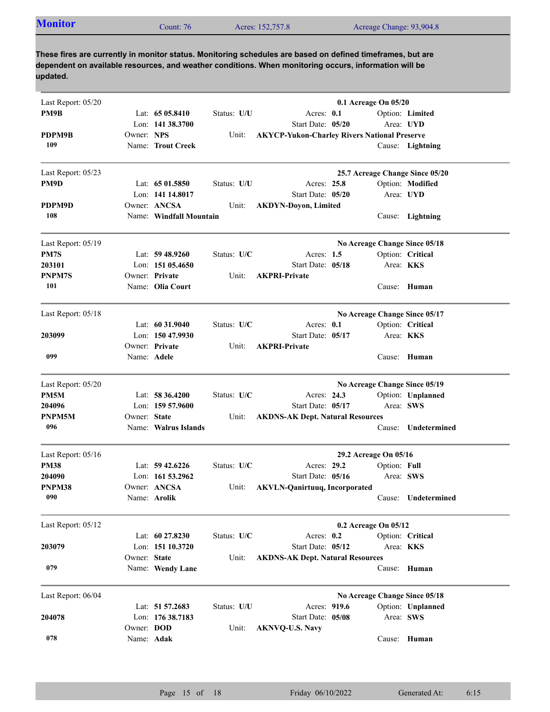| Acres: 152,757.8<br>$\mathcal{L}$ ount: 76 | <b>Monitor</b> |  |  | Acreage Change: 93,904.8 |  |
|--------------------------------------------|----------------|--|--|--------------------------|--|
|--------------------------------------------|----------------|--|--|--------------------------|--|

| Last Report: 05/20 |                          |                                    |             | 0.1 Acreage On 05/20                                |                       |                  |                                 |
|--------------------|--------------------------|------------------------------------|-------------|-----------------------------------------------------|-----------------------|------------------|---------------------------------|
| PM9B               |                          | Lat: $6505.8410$                   | Status: U/U | Acres: 0.1                                          |                       |                  | Option: Limited                 |
|                    |                          | Lon: 141 38.3700                   |             | Start Date: 05/20                                   |                       |                  | Area: UYD                       |
| PDPM9B             | Owner: NPS               |                                    | Unit:       | <b>AKYCP-Yukon-Charley Rivers National Preserve</b> |                       |                  |                                 |
| 109                |                          | Name: Trout Creek                  |             |                                                     |                       |                  | Cause: Lightning                |
| Last Report: 05/23 |                          |                                    |             |                                                     |                       |                  | 25.7 Acreage Change Since 05/20 |
| PM9D               |                          | Lat: 65 01.5850                    | Status: U/U | Acres: 25.8                                         |                       |                  | Option: Modified                |
|                    |                          | Lon: 141 14.8017                   |             | Start Date: 05/20                                   |                       | Area: UYD        |                                 |
| PDPM9D             |                          | Owner: ANCSA                       | Unit:       | <b>AKDYN-Doyon, Limited</b>                         |                       |                  |                                 |
| 108                |                          | Name: Windfall Mountain            |             |                                                     |                       |                  | Cause: Lightning                |
|                    |                          |                                    |             |                                                     |                       |                  |                                 |
| Last Report: 05/19 |                          |                                    |             |                                                     |                       |                  | No Acreage Change Since 05/18   |
| PM7S               |                          | Lat: $59\,48.9260$                 | Status: U/C | Acres: $1.5$                                        |                       |                  | Option: Critical                |
| 203101             |                          | Lon: $15105.4650$                  |             | Start Date: 05/18                                   |                       | Area: <b>KKS</b> |                                 |
| PNPM7S<br>101      |                          | Owner: Private<br>Name: Olia Court | Unit:       | <b>AKPRI-Private</b>                                |                       |                  |                                 |
|                    |                          |                                    |             |                                                     |                       |                  | Cause: Human                    |
| Last Report: 05/18 |                          |                                    |             |                                                     |                       |                  | No Acreage Change Since 05/17   |
|                    |                          | Lat: $60\,31.9040$                 | Status: U/C | Acres: $0.1$                                        |                       |                  | Option: Critical                |
| 203099             |                          | Lon: 150 47.9930                   |             | Start Date: 05/17                                   |                       | Area: KKS        |                                 |
|                    |                          | Owner: Private                     | Unit:       | <b>AKPRI-Private</b>                                |                       |                  |                                 |
| 099                | Name: Adele              |                                    |             |                                                     |                       |                  | Cause: Human                    |
| Last Report: 05/20 |                          |                                    |             |                                                     |                       |                  | No Acreage Change Since 05/19   |
| PM5M               |                          | Lat: 58 36.4200                    | Status: U/C | Acres: 24.3                                         |                       |                  | Option: Unplanned               |
| 204096             |                          | Lon: 159 57.9600                   |             | Start Date: 05/17                                   |                       | Area: SWS        |                                 |
| PNPM5M             | Owner: State             |                                    | Unit:       | <b>AKDNS-AK Dept. Natural Resources</b>             |                       |                  |                                 |
| 096                |                          | Name: Walrus Islands               |             |                                                     |                       |                  | Cause: Undetermined             |
| Last Report: 05/16 |                          |                                    |             |                                                     | 29.2 Acreage On 05/16 |                  |                                 |
| <b>PM38</b>        |                          | Lat: $59\,42.6226$                 | Status: U/C | Acres: 29.2                                         |                       | Option: Full     |                                 |
| 204090             |                          | Lon: $161\,53.2962$                |             | Start Date: 05/16                                   |                       | Area: SWS        |                                 |
| PNPM38             |                          | Owner: ANCSA                       | Unit:       | <b>AKVLN-Qanirtuuq, Incorporated</b>                |                       |                  |                                 |
| 090                |                          | Name: Arolik                       |             |                                                     |                       | Cause:           | Undetermined                    |
| Last Report: 05/12 |                          |                                    |             |                                                     | 0.2 Acreage On 05/12  |                  |                                 |
|                    |                          | Lat: 60 27.8230                    | Status: U/C | Acres: 0.2                                          |                       |                  | Option: Critical                |
| 203079             |                          | Lon: 151 10.3720                   |             | Start Date: 05/12                                   |                       | Area: KKS        |                                 |
|                    | Owner: State             |                                    | Unit:       | <b>AKDNS-AK Dept. Natural Resources</b>             |                       |                  |                                 |
| 079                |                          | Name: Wendy Lane                   |             |                                                     |                       | Cause:           | Human                           |
|                    |                          |                                    |             |                                                     |                       |                  |                                 |
| Last Report: 06/04 |                          |                                    |             |                                                     |                       |                  | No Acreage Change Since 05/18   |
|                    |                          | Lat: 51 57.2683                    | Status: U/U | Acres: 919.6                                        |                       |                  | Option: Unplanned               |
| 204078             |                          | Lon: 176 38.7183                   |             | Start Date: 05/08                                   |                       | Area: SWS        |                                 |
| 078                | Owner: DOD<br>Name: Adak |                                    | Unit:       | <b>AKNVQ-U.S. Navy</b>                              |                       |                  | Cause: Human                    |
|                    |                          |                                    |             |                                                     |                       |                  |                                 |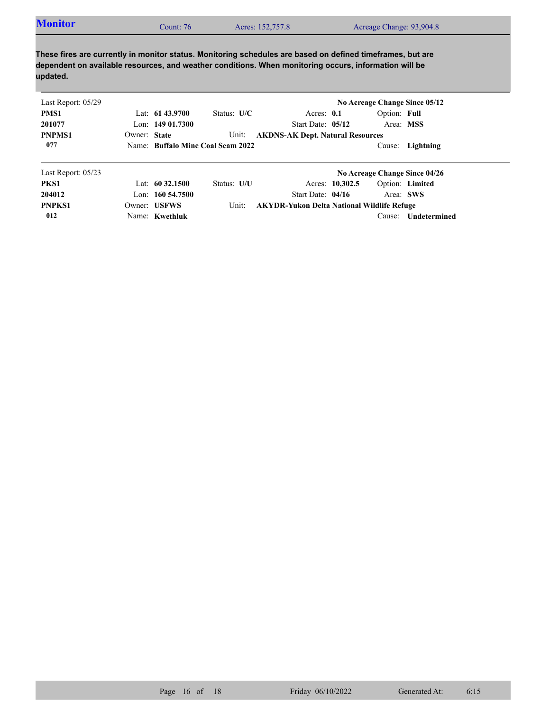| <b>Monitor</b> | Count: $761$ | Acres: 152,757.8 | Acreage Change: 93,904.8 |
|----------------|--------------|------------------|--------------------------|
|                |              |                  |                          |

| Last Report: 05/29   |              |                      |                                   |                                                   |                 |              | No Acreage Change Since 05/12 |
|----------------------|--------------|----------------------|-----------------------------------|---------------------------------------------------|-----------------|--------------|-------------------------------|
| PMS1                 |              | Lat: $6143.9700$     | Status: $U/C$                     | Acres: $0.1$                                      |                 | Option: Full |                               |
| 201077               |              | Lon: $14901.7300$    |                                   | Start Date: 05/12                                 |                 |              | Area: MSS                     |
| <b>PNPMS1</b>        | Owner: State |                      | Unit:                             | <b>AKDNS-AK Dept. Natural Resources</b>           |                 |              |                               |
| 077                  |              |                      | Name: Buffalo Mine Coal Seam 2022 |                                                   |                 |              | Cause: Lightning              |
| Last Report: $05/23$ |              |                      |                                   |                                                   |                 |              | No Acreage Change Since 04/26 |
| PKS1                 |              | Lat: $60\,32.1500$   | Status: U/U                       |                                                   | Acres: 10,302.5 |              | Option: Limited               |
| 204012               |              | Lon: $160, 54, 7500$ |                                   | Start Date: 04/16                                 |                 |              | Area: SWS                     |
| <b>PNPKS1</b>        |              | Owner: USFWS         | Unit:                             | <b>AKYDR-Yukon Delta National Wildlife Refuge</b> |                 |              |                               |
| 012                  |              | Name: Kwethluk       |                                   |                                                   |                 | Cause:       | Undetermined                  |

Name: **Kwethluk**

Cause: **Undetermined**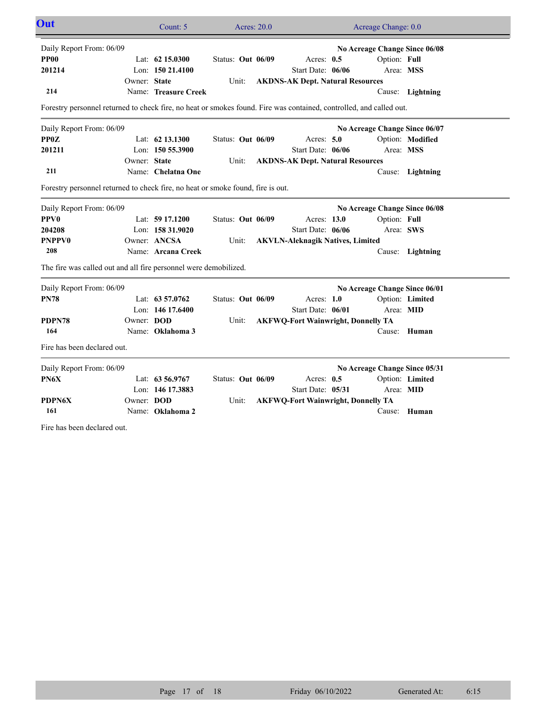| Out                                                                                                                 |              | Count: 5             | Acres: 20.0       |                                           |  | Acreage Change: 0.0           |                  |  |
|---------------------------------------------------------------------------------------------------------------------|--------------|----------------------|-------------------|-------------------------------------------|--|-------------------------------|------------------|--|
| Daily Report From: 06/09                                                                                            |              |                      |                   |                                           |  | No Acreage Change Since 06/08 |                  |  |
| <b>PP00</b>                                                                                                         |              | Lat: $62$ 15.0300    | Status: Out 06/09 | Acres: $0.5$                              |  | Option: Full                  |                  |  |
| 201214                                                                                                              |              | Lon: $15021.4100$    |                   | Start Date: 06/06                         |  | Area: MSS                     |                  |  |
|                                                                                                                     | Owner: State |                      | Unit:             | <b>AKDNS-AK Dept. Natural Resources</b>   |  |                               |                  |  |
| 214                                                                                                                 |              | Name: Treasure Creek |                   |                                           |  |                               | Cause: Lightning |  |
| Forestry personnel returned to check fire, no heat or smokes found. Fire was contained, controlled, and called out. |              |                      |                   |                                           |  |                               |                  |  |
| Daily Report From: 06/09                                                                                            |              |                      |                   |                                           |  | No Acreage Change Since 06/07 |                  |  |
| <b>PPOZ</b>                                                                                                         |              | Lat: 62 13.1300      | Status: Out 06/09 | Acres: $5.0$                              |  |                               | Option: Modified |  |
| 201211                                                                                                              |              | Lon: $1505.3900$     |                   | Start Date: 06/06                         |  | Area: MSS                     |                  |  |
|                                                                                                                     | Owner: State |                      | Unit:             | <b>AKDNS-AK Dept. Natural Resources</b>   |  |                               |                  |  |
| 211                                                                                                                 |              | Name: Chelatna One   |                   |                                           |  |                               | Cause: Lightning |  |
| Forestry personnel returned to check fire, no heat or smoke found, fire is out.                                     |              |                      |                   |                                           |  |                               |                  |  |
| Daily Report From: 06/09                                                                                            |              |                      |                   |                                           |  | No Acreage Change Since 06/08 |                  |  |
| <b>PPV0</b>                                                                                                         |              | Lat: 59 17.1200      | Status: Out 06/09 | Acres: 13.0                               |  | Option: Full                  |                  |  |
| 204208                                                                                                              |              | Lon: 158 31.9020     |                   | Start Date: 06/06                         |  | Area: SWS                     |                  |  |
| <b>PNPPV0</b>                                                                                                       |              | Owner: ANCSA         | Unit:             | <b>AKVLN-Aleknagik Natives, Limited</b>   |  |                               |                  |  |
| 208                                                                                                                 |              | Name: Arcana Creek   |                   |                                           |  |                               | Cause: Lightning |  |
| The fire was called out and all fire personnel were demobilized.                                                    |              |                      |                   |                                           |  |                               |                  |  |
| Daily Report From: 06/09                                                                                            |              |                      |                   |                                           |  | No Acreage Change Since 06/01 |                  |  |
| <b>PN78</b>                                                                                                         |              | Lat: 63 57.0762      | Status: Out 06/09 | Acres: 1.0                                |  |                               | Option: Limited  |  |
|                                                                                                                     |              | Lon: $146$ 17.6400   |                   | Start Date: 06/01                         |  | Area: MID                     |                  |  |
| PDPN78                                                                                                              | Owner: DOD   |                      | Unit:             | <b>AKFWQ-Fort Wainwright, Donnelly TA</b> |  |                               |                  |  |
| 164                                                                                                                 |              | Name: Oklahoma 3     |                   |                                           |  |                               | Cause: Human     |  |
| Fire has been declared out.                                                                                         |              |                      |                   |                                           |  |                               |                  |  |
| Daily Report From: 06/09                                                                                            |              |                      |                   |                                           |  | No Acreage Change Since 05/31 |                  |  |
| PN6X                                                                                                                |              | Lat: 63 56.9767      | Status: Out 06/09 | Acres: $0.5$                              |  |                               | Option: Limited  |  |
|                                                                                                                     |              | Lon: 146 17.3883     |                   | Start Date: 05/31                         |  | Area: MID                     |                  |  |
| <b>PDPN6X</b>                                                                                                       | Owner: DOD   |                      | Unit:             | <b>AKFWQ-Fort Wainwright, Donnelly TA</b> |  |                               |                  |  |
| 161                                                                                                                 |              | Name: Oklahoma 2     |                   |                                           |  |                               | Cause: Human     |  |
| Fire has been declared out.                                                                                         |              |                      |                   |                                           |  |                               |                  |  |